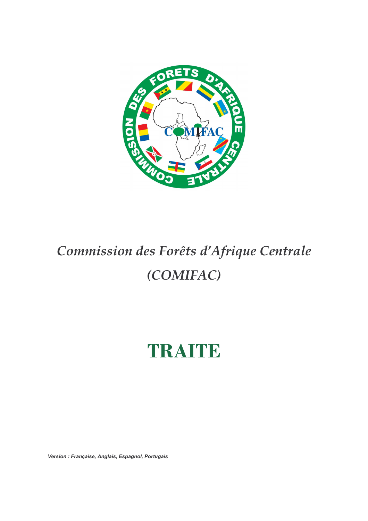

# Commission des Forêts d'Afrique Centrale (COMIFAC)

# TRAITE

Version : Française, Anglais, Espagnol, Portugais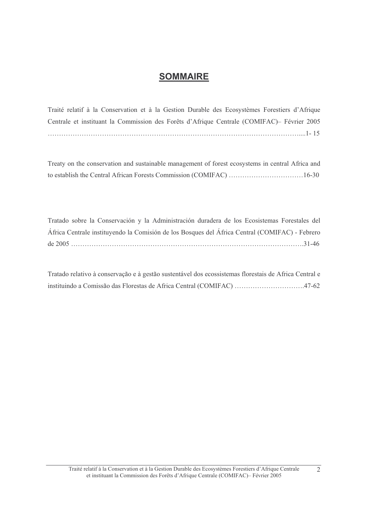# **SOMMAIRE**

Traité relatif à la Conservation et à la Gestion Durable des Ecosystèmes Forestiers d'Afrique Centrale et instituant la Commission des Forêts d'Afrique Centrale (COMIFAC) - Février 2005 

Treaty on the conservation and sustainable management of forest ecosystems in central Africa and to establish the Central African Forests Commission (COMIFAC) ................................16-30

Tratado sobre la Conservación y la Administración duradera de los Ecosistemas Forestales del África Centrale instituyendo la Comisión de los Bosques del África Central (COMIFAC) - Febrero 

Tratado relativo à conservação e à gestão sustentável dos ecossistemas florestais de Africa Central e instituindo a Comissão das Florestas de Africa Central (COMIFAC) ..................................47-62

 $\overline{2}$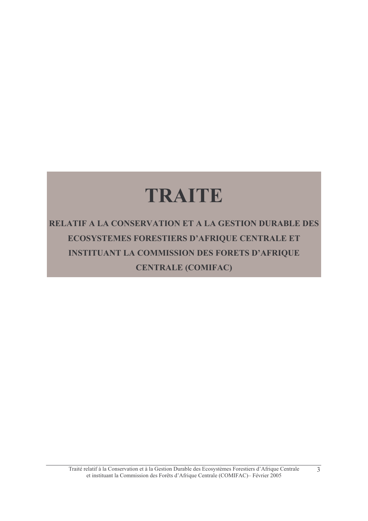# TRAITE

**RELATIF A LA CONSERVATION ET A LA GESTION DURABLE DES** ECOSYSTEMES FORESTIERS D'AFRIQUE CENTRALE ET **INSTITUANT LA COMMISSION DES FORETS D'AFRIQUE CENTRALE (COMIFAC)** 

 $\overline{3}$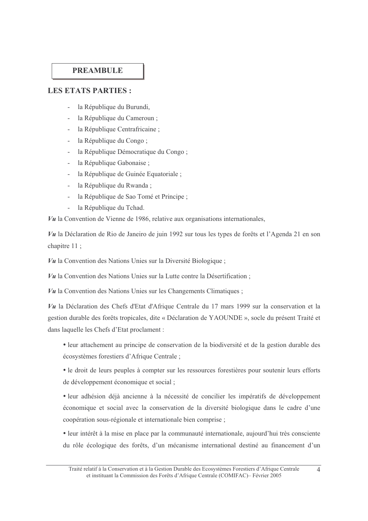### **PREAMBULE**

#### **LES ETATS PARTIES:**

- la République du Burundi.
- la République du Cameroun;
- la République Centrafricaine;
- la République du Congo;
- la République Démocratique du Congo;
- la République Gabonaise ;
- la République de Guinée Equatoriale ;
- $\mathcal{L}^{\text{max}}$ la République du Rwanda;
- la République de Sao Tomé et Principe;
- la République du Tchad.

 $Vu$  la Convention de Vienne de 1986, relative aux organisations internationales,

Vu la Déclaration de Rio de Janeiro de juin 1992 sur tous les types de forêts et l'Agenda 21 en son chapitre 11;

 $V\mathbf{u}$  la Convention des Nations Unies sur la Diversité Biologique;

Vu la Convention des Nations Unies sur la Lutte contre la Désertification;

 $V\mathbf{u}$  la Convention des Nations Unies sur les Changements Climatiques;

Vu la Déclaration des Chefs d'Etat d'Afrique Centrale du 17 mars 1999 sur la conservation et la gestion durable des forêts tropicales, dite « Déclaration de YAOUNDE », socle du présent Traité et dans laquelle les Chefs d'Etat proclament :

• leur attachement au principe de conservation de la biodiversité et de la gestion durable des écosystèmes forestiers d'Afrique Centrale :

• le droit de leurs peuples à compter sur les ressources forestières pour soutenir leurs efforts de développement économique et social;

· leur adhésion déjà ancienne à la nécessité de concilier les impératifs de développement économique et social avec la conservation de la diversité biologique dans le cadre d'une coopération sous-régionale et internationale bien comprise;

• leur intérêt à la mise en place par la communauté internationale, aujourd'hui très consciente du rôle écologique des forêts, d'un mécanisme international destiné au financement d'un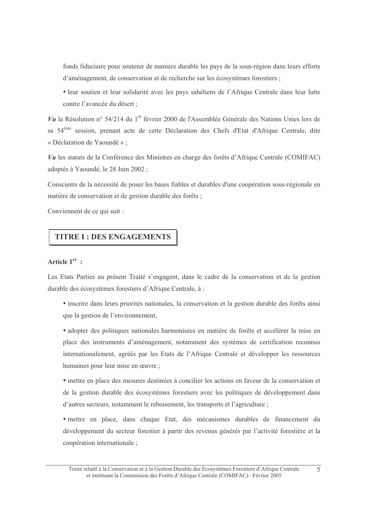fonds fiduciaire pour soutenir de manière durable les pays de la sous-région dans leurs efforts d'aménagement, de conservation et de recherche sur les écosystèmes forestiers;

• leur soutien et leur solidarité avec les pays sahéliens de l'Afrique Centrale dans leur lutte contre l'avancée du désert ;

 $Vu$  la Résolution n° 54/214 du 1<sup>er</sup> février 2000 de l'Assemblée Générale des Nations Unies lors de sa 54<sup>ème</sup> session, prenant acte de cette Déclaration des Chefs d'Etat d'Afrique Centrale, dite « Déclaration de Yaoundé »;

Vu les statuts de la Conférence des Ministres en charge des forêts d'Afrique Centrale (COMIFAC) adoptés à Yaoundé, le 28 Juin 2002 ;

Conscients de la nécessité de poser les bases fiables et durables d'une coopération sous-régionale en matière de conservation et de gestion durable des forêts :

Conviennent de ce qui suit :

# **TITRE I: DES ENGAGEMENTS**

# Article  $1<sup>er</sup>$  :

Les Etats Parties au présent Traité s'engagent, dans le cadre de la conservation et de la gestion durable des écosystèmes forestiers d'Afrique Centrale, à :

• inscrire dans leurs priorités nationales, la conservation et la gestion durable des forêts ainsi que la gestion de l'environnement,

• adopter des politiques nationales harmonisées en matière de forêts et accélérer la mise en place des instruments d'aménagement, notamment des systèmes de certification reconnus internationalement, agréés par les Etats de l'Afrique Centrale et développer les ressources humaines pour leur mise en œuvre;

· mettre en place des mesures destinées à concilier les actions en faveur de la conservation et de la gestion durable des écosystèmes forestiers avec les politiques de développement dans d'autres secteurs, notamment le reboisement, les transports et l'agriculture;

• mettre en place, dans chaque Etat, des mécanismes durables de financement du développement du secteur forestier à partir des revenus générés par l'activité forestière et la coopération internationale;

Traité relatif à la Conservation et à la Gestion Durable des Ecosystèmes Forestiers d'Afrique Centrale et instituant la Commission des Forêts d'Afrique Centrale (COMIFAC)- Février 2005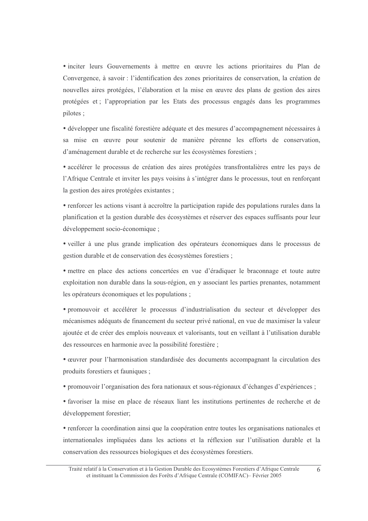• inciter leurs Gouvernements à mettre en œuvre les actions prioritaires du Plan de Convergence, à savoir : l'identification des zones prioritaires de conservation, la création de nouvelles aires protégées, l'élaboration et la mise en œuvre des plans de gestion des aires protégées et ; l'appropriation par les Etats des processus engagés dans les programmes pilotes :

• développer une fiscalité forestière adéquate et des mesures d'accompagnement nécessaires à sa mise en œuvre pour soutenir de manière pérenne les efforts de conservation, d'aménagement durable et de recherche sur les écosystèmes forestiers ;

• accélérer le processus de création des aires protégées transfrontalières entre les pays de l'Afrique Centrale et inviter les pays voisins à s'intégrer dans le processus, tout en renforçant la gestion des aires protégées existantes ;

• renforcer les actions visant à accroître la participation rapide des populations rurales dans la planification et la gestion durable des écosystèmes et réserver des espaces suffisants pour leur développement socio-économique ;

• veiller à une plus grande implication des opérateurs économiques dans le processus de gestion durable et de conservation des écosystèmes forestiers;

• mettre en place des actions concertées en vue d'éradiquer le braconnage et toute autre exploitation non durable dans la sous-région, en y associant les parties prenantes, notamment les opérateurs économiques et les populations;

· promouvoir et accélérer le processus d'industrialisation du secteur et développer des mécanismes adéquats de financement du secteur privé national, en vue de maximiser la valeur ajoutée et de créer des emplois nouveaux et valorisants, tout en veillant à l'utilisation durable des ressources en harmonie avec la possibilité forestière;

• œuvrer pour l'harmonisation standardisée des documents accompagnant la circulation des produits forestiers et fauniques :

• promouvoir l'organisation des fora nationaux et sous-régionaux d'échanges d'expériences ;

• favoriser la mise en place de réseaux liant les institutions pertinentes de recherche et de développement forestier;

• renforcer la coordination ainsi que la coopération entre toutes les organisations nationales et internationales impliquées dans les actions et la réflexion sur l'utilisation durable et la conservation des ressources biologiques et des écosystèmes forestiers.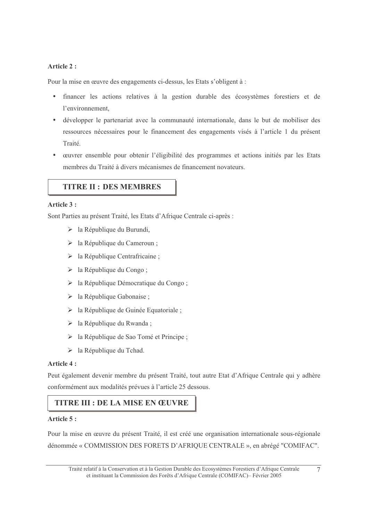### Article 2:

Pour la mise en œuvre des engagements ci-dessus, les Etats s'obligent à :

- financer les actions relatives à la gestion durable des écosystèmes forestiers et de l'environnement.
- · développer le partenariat avec la communauté internationale, dans le but de mobiliser des ressources nécessaires pour le financement des engagements visés à l'article 1 du présent Traité.
- œuvrer ensemble pour obtenir l'éligibilité des programmes et actions initiés par les Etats membres du Traité à divers mécanismes de financement novateurs.

# **TITRE II: DES MEMBRES**

# Article 3 :

Sont Parties au présent Traité, les Etats d'Afrique Centrale ci-après :

- > la République du Burundi,
- > la République du Cameroun;
- $\triangleright$  la République Centrafricaine;
- $\triangleright$  la République du Congo;
- > la République Démocratique du Congo:
- $\triangleright$  la République Gabonaise;
- > la République de Guinée Equatoriale;
- > la République du Rwanda;
- > la République de Sao Tomé et Principe;
- $\triangleright$  la République du Tchad.

#### Article 4:

Peut également devenir membre du présent Traité, tout autre Etat d'Afrique Centrale qui y adhère conformément aux modalités prévues à l'article 25 dessous.

# **TITRE III : DE LA MISE EN ŒUVRE**

#### Article 5:

Pour la mise en œuvre du présent Traité, il est créé une organisation internationale sous-régionale dénommée « COMMISSION DES FORETS D'AFRIQUE CENTRALE », en abrégé "COMIFAC".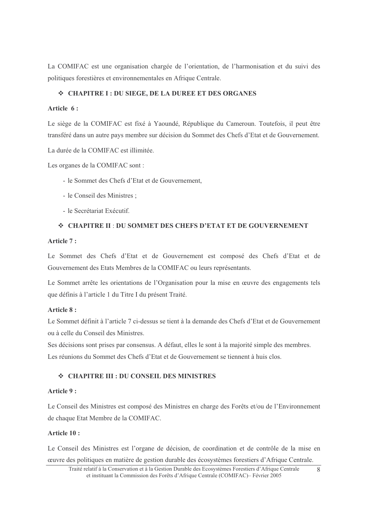La COMIFAC est une organisation chargée de l'orientation, de l'harmonisation et du suivi des politiques forestières et environnementales en Afrique Centrale.

#### ❖ CHAPITRE I : DU SIEGE, DE LA DUREE ET DES ORGANES

#### Article 6:

Le siège de la COMIFAC est fixé à Yaoundé, République du Cameroun. Toutefois, il peut être transféré dans un autre pays membre sur décision du Sommet des Chefs d'Etat et de Gouvernement.

La durée de la COMIFAC est illimitée.

Les organes de la COMIFAC sont :

- le Sommet des Chefs d'Etat et de Gouvernement.
- le Conseil des Ministres :
- le Secrétariat Exécutif

#### ❖ CHAPITRE II : DU SOMMET DES CHEFS D'ETAT ET DE GOUVERNEMENT

#### Article 7:

Le Sommet des Chefs d'Etat et de Gouvernement est composé des Chefs d'Etat et de Gouvernement des Etats Membres de la COMIFAC ou leurs représentants.

Le Sommet arrête les orientations de l'Organisation pour la mise en œuvre des engagements tels que définis à l'article 1 du Titre I du présent Traité.

#### Article 8:

Le Sommet définit à l'article 7 ci-dessus se tient à la demande des Chefs d'Etat et de Gouvernement ou à celle du Conseil des Ministres.

Ses décisions sont prises par consensus. A défaut, elles le sont à la majorité simple des membres. Les réunions du Sommet des Chefs d'Etat et de Gouvernement se tiennent à huis clos

### ❖ CHAPITRE III : DU CONSEIL DES MINISTRES

#### Article 9:

Le Conseil des Ministres est composé des Ministres en charge des Forêts et/ou de l'Environnement de chaque Etat Membre de la COMIFAC.

#### Article 10:

Le Conseil des Ministres est l'organe de décision, de coordination et de contrôle de la mise en œuvre des politiques en matière de gestion durable des écosystèmes forestiers d'Afrique Centrale.

Traité relatif à la Conservation et à la Gestion Durable des Ecosystèmes Forestiers d'Afrique Centrale  $\mathsf{R}$ et instituant la Commission des Forêts d'Afrique Centrale (COMIFAC) – Février 2005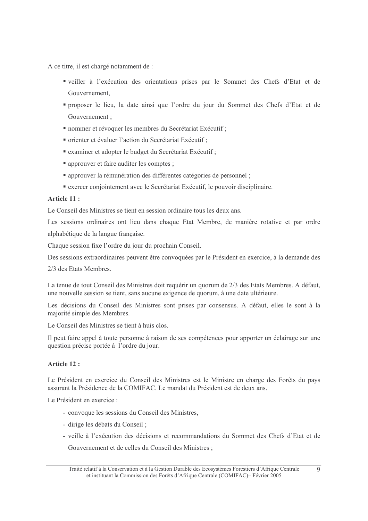A ce titre, il est chargé notamment de :

- "veiller à l'exécution des orientations prises par le Sommet des Chefs d'Etat et de Gouvernement,
- " proposer le lieu, la date ainsi que l'ordre du jour du Sommet des Chefs d'Etat et de Gouvernement:
- " nommer et révoquer les membres du Secrétariat Exécutif ;
- orienter et évaluer l'action du Secrétariat Exécutif ;
- " examiner et adopter le budget du Secrétariat Exécutif ;
- approuver et faire auditer les comptes ;
- approuver la rémunération des différentes catégories de personnel;
- exercer conjointement avec le Secrétariat Exécutif, le pouvoir disciplinaire.

#### Article 11:

Le Conseil des Ministres se tient en session ordinaire tous les deux ans.

Les sessions ordinaires ont lieu dans chaque Etat Membre, de manière rotative et par ordre alphabétique de la langue française.

Chaque session fixe l'ordre du jour du prochain Conseil.

Des sessions extraordinaires peuvent être convoquées par le Président en exercice, à la demande des

2/3 des Etats Membres.

La tenue de tout Conseil des Ministres doit requérir un quorum de 2/3 des Etats Membres. A défaut, une nouvelle session se tient, sans aucune exigence de quorum, à une date ultérieure.

Les décisions du Conseil des Ministres sont prises par consensus. A défaut, elles le sont à la majorité simple des Membres.

Le Conseil des Ministres se tient à huis clos.

Il peut faire appel à toute personne à raison de ses compétences pour apporter un éclairage sur une question précise portée à l'ordre du jour.

# Article 12:

Le Président en exercice du Conseil des Ministres est le Ministre en charge des Forêts du pays assurant la Présidence de la COMIFAC. Le mandat du Président est de deux ans.

Le Président en exercice :

- convoque les sessions du Conseil des Ministres,
- dirige les débats du Conseil :
- veille à l'exécution des décisions et recommandations du Sommet des Chefs d'Etat et de Gouvernement et de celles du Conseil des Ministres ;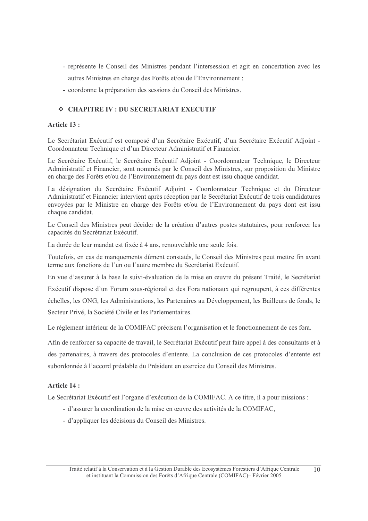- représente le Conseil des Ministres pendant l'intersession et agit en concertation avec les autres Ministres en charge des Forêts et/ou de l'Environnement;
- coordonne la préparation des sessions du Conseil des Ministres.

# ❖ CHAPITRE IV : DU SECRETARIAT EXECUTIF

#### Article 13:

Le Secrétariat Exécutif est composé d'un Secrétaire Exécutif, d'un Secrétaire Exécutif Adjoint -Coordonnateur Technique et d'un Directeur Administratif et Financier.

Le Secrétaire Exécutif, le Secrétaire Exécutif Adjoint - Coordonnateur Technique, le Directeur Administratif et Financier, sont nommés par le Conseil des Ministres, sur proposition du Ministre en charge des Forêts et/ou de l'Environnement du pays dont est issu chaque candidat.

La désignation du Secrétaire Exécutif Adjoint - Coordonnateur Technique et du Directeur Administratif et Financier intervient après réception par le Secrétariat Exécutif de trois candidatures envoyées par le Ministre en charge des Forêts et/ou de l'Environnement du pays dont est issu chaque candidat.

Le Conseil des Ministres peut décider de la création d'autres postes statutaires, pour renforcer les capacités du Secrétariat Exécutif.

La durée de leur mandat est fixée à 4 ans, renouvelable une seule fois.

Toutefois, en cas de manquements dûment constatés, le Conseil des Ministres peut mettre fin avant terme aux fonctions de l'un ou l'autre membre du Secrétariat Exécutif.

En vue d'assurer à la base le suivi-évaluation de la mise en œuvre du présent Traité, le Secrétariat

Exécutif dispose d'un Forum sous-régional et des Fora nationaux qui regroupent, à ces différentes

échelles, les ONG, les Administrations, les Partenaires au Développement, les Bailleurs de fonds, le Secteur Privé, la Société Civile et les Parlementaires.

Le règlement intérieur de la COMIFAC précisera l'organisation et le fonctionnement de ces fora.

Afin de renforcer sa capacité de travail, le Secrétariat Exécutif peut faire appel à des consultants et à des partenaires, à travers des protocoles d'entente. La conclusion de ces protocoles d'entente est subordonnée à l'accord préalable du Président en exercice du Conseil des Ministres.

#### Article 14:

Le Secrétariat Exécutif est l'organe d'exécution de la COMIFAC. A ce titre, il a pour missions :

- d'assurer la coordination de la mise en œuvre des activités de la COMIFAC,
- d'appliquer les décisions du Conseil des Ministres.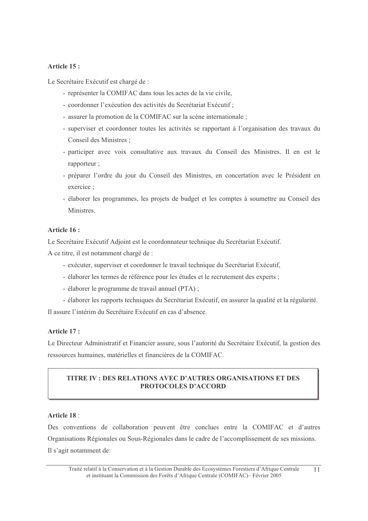#### Article 15:

Le Secrétaire Exécutif est chargé de :

- représenter la COMIFAC dans tous les actes de la vie civile.
- coordonner l'exécution des activités du Secrétariat Exécutif ;
- assurer la promotion de la COMIFAC sur la scène internationale ;
- superviser et coordonner toutes les activités se rapportant à l'organisation des travaux du Conseil des Ministres :
- participer avec voix consultative aux travaux du Conseil des Ministres. Il en est le rapporteur :
- préparer l'ordre du jour du Conseil des Ministres, en concertation avec le Président en exercice:
- élaborer les programmes, les projets de budget et les comptes à soumettre au Conseil des Ministres

#### Article 16:

Le Secrétaire Exécutif Adjoint est le coordonnateur technique du Secrétariat Exécutif.

A ce titre, il est notamment chargé de :

- exécuter, superviser et coordonner le travail technique du Secrétariat Exécutif,
- élaborer les termes de référence pour les études et le recrutement des experts;
- élaborer le programme de travail annuel (PTA);
- élaborer les rapports techniques du Secrétariat Exécutif, en assurer la qualité et la régularité.

Il assure l'intérim du Secrétaire Exécutif en cas d'absence.

# Article 17 :

Le Directeur Administratif et Financier assure, sous l'autorité du Secrétaire Exécutif, la gestion des ressources humaines, matérielles et financières de la COMIFAC.

# TITRE IV: DES RELATIONS AVEC D'AUTRES ORGANISATIONS ET DES **PROTOCOLES D'ACCORD**

#### Article 18:

Des conventions de collaboration peuvent être conclues entre la COMIFAC et d'autres Organisations Régionales ou Sous-Régionales dans le cadre de l'accomplissement de ses missions. Il s'agit notamment de: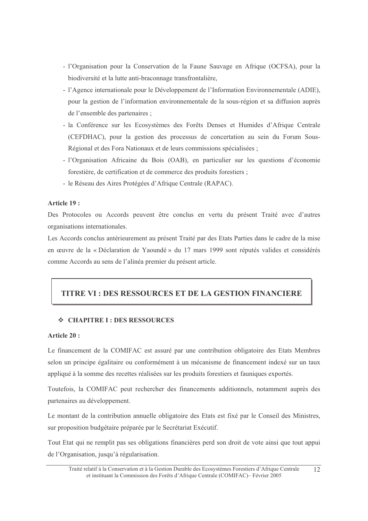- l'Organisation pour la Conservation de la Faune Sauvage en Afrique (OCFSA), pour la biodiversité et la lutte anti-braconnage transfrontalière,
- l'Agence internationale pour le Développement de l'Information Environnementale (ADIE), pour la gestion de l'information environnementale de la sous-région et sa diffusion auprès de l'ensemble des partenaires ;
- la Conférence sur les Ecosystèmes des Forêts Denses et Humides d'Afrique Centrale (CEFDHAC), pour la gestion des processus de concertation au sein du Forum Sous-Régional et des Fora Nationaux et de leurs commissions spécialisées ;
- l'Organisation Africaine du Bois (OAB), en particulier sur les questions d'économie forestière, de certification et de commerce des produits forestiers;
- le Réseau des Aires Protégées d'Afrique Centrale (RAPAC).

#### Article 19:

Des Protocoles ou Accords peuvent être conclus en vertu du présent Traité avec d'autres organisations internationales.

Les Accords conclus antérieurement au présent Traité par des Etats Parties dans le cadre de la mise en œuvre de la « Déclaration de Yaoundé » du 17 mars 1999 sont réputés valides et considérés comme Accords au sens de l'alinéa premier du présent article.

# TITRE VI : DES RESSOURCES ET DE LA GESTION FINANCIERE

#### ❖ CHAPITRE I : DES RESSOURCES

#### Article 20:

Le financement de la COMIFAC est assuré par une contribution obligatoire des Etats Membres selon un principe égalitaire ou conformément à un mécanisme de financement indexé sur un taux appliqué à la somme des recettes réalisées sur les produits forestiers et fauniques exportés.

Toutefois, la COMIFAC peut rechercher des financements additionnels, notamment auprès des partenaires au développement.

Le montant de la contribution annuelle obligatoire des Etats est fixé par le Conseil des Ministres, sur proposition budgétaire préparée par le Secrétariat Exécutif.

Tout Etat qui ne remplit pas ses obligations financières perd son droit de vote ainsi que tout appui de l'Organisation, jusqu'à régularisation.

Traité relatif à la Conservation et à la Gestion Durable des Ecosystèmes Forestiers d'Afrique Centrale  $12$ et instituant la Commission des Forêts d'Afrique Centrale (COMIFAC)- Février 2005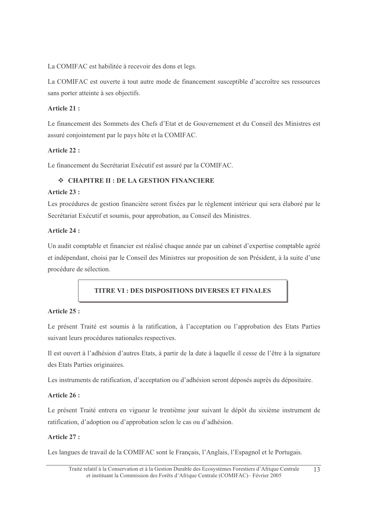La COMIFAC est habilitée à recevoir des dons et legs.

La COMIFAC est ouverte à tout autre mode de financement susceptible d'accroître ses ressources sans porter atteinte à ses objectifs.

# Article  $21:$

Le financement des Sommets des Chefs d'Etat et de Gouvernement et du Conseil des Ministres est assuré conjointement par le pays hôte et la COMIFAC.

# Article 22 :

Le financement du Secrétariat Exécutif est assuré par la COMIFAC.

# ❖ CHAPITRE II : DE LA GESTION FINANCIERE

#### Article 23 :

Les procédures de gestion financière seront fixées par le règlement intérieur qui sera élaboré par le Secrétariat Exécutif et soumis, pour approbation, au Conseil des Ministres.

#### Article 24 :

Un audit comptable et financier est réalisé chaque année par un cabinet d'expertise comptable agréé et indépendant, choisi par le Conseil des Ministres sur proposition de son Président, à la suite d'une procédure de sélection.

# **TITRE VI: DES DISPOSITIONS DIVERSES ET FINALES**

#### Article 25 :

Le présent Traité est soumis à la ratification, à l'acceptation ou l'approbation des Etats Parties suivant leurs procédures nationales respectives.

Il est ouvert à l'adhésion d'autres Etats, à partir de la date à laquelle il cesse de l'être à la signature des Etats Parties originaires.

Les instruments de ratification, d'acceptation ou d'adhésion seront déposés auprès du dépositaire.

#### Article 26 :

Le présent Traité entrera en vigueur le trentième jour suivant le dépôt du sixième instrument de ratification, d'adoption ou d'approbation selon le cas ou d'adhésion.

#### Article 27:

Les langues de travail de la COMIFAC sont le Français, l'Anglais, l'Espagnol et le Portugais.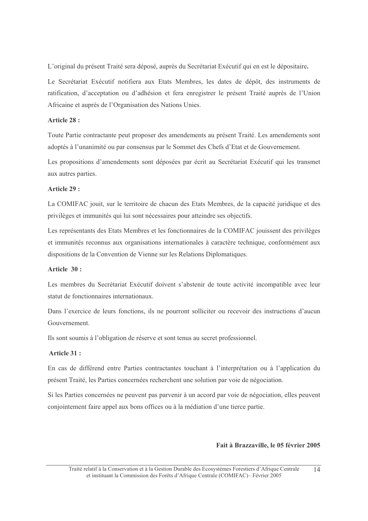L'original du présent Traité sera déposé, auprès du Secrétariat Exécutif qui en est le dépositaire.

Le Secrétariat Exécutif notifiera aux Etats Membres, les dates de dépôt, des instruments de ratification, d'acceptation ou d'adhésion et fera enregistrer le présent Traité auprès de l'Union Africaine et auprès de l'Organisation des Nations Unies.

#### Article 28 :

Toute Partie contractante peut proposer des amendements au présent Traité. Les amendements sont adoptés à l'unanimité ou par consensus par le Sommet des Chefs d'Etat et de Gouvernement.

Les propositions d'amendements sont déposées par écrit au Secrétariat Exécutif qui les transmet aux autres parties.

#### Article 29:

La COMIFAC jouit, sur le territoire de chacun des Etats Membres, de la capacité juridique et des privilèges et immunités qui lui sont nécessaires pour atteindre ses objectifs.

Les représentants des Etats Membres et les fonctionnaires de la COMIFAC jouissent des privilèges et immunités reconnus aux organisations internationales à caractère technique, conformément aux dispositions de la Convention de Vienne sur les Relations Diplomatiques.

#### Article  $30:$

Les membres du Secrétariat Exécutif doivent s'abstenir de toute activité incompatible avec leur statut de fonctionnaires internationaux.

Dans l'exercice de leurs fonctions, ils ne pourront solliciter ou recevoir des instructions d'aucun Gouvernement

Ils sont soumis à l'obligation de réserve et sont tenus au secret professionnel.

#### Article 31:

En cas de différend entre Parties contractantes touchant à l'interprétation ou à l'application du présent Traité, les Parties concernées recherchent une solution par voie de négociation.

Si les Parties concernées ne peuvent pas parvenir à un accord par voie de négociation, elles peuvent conjointement faire appel aux bons offices ou à la médiation d'une tierce partie.

#### Fait à Brazzaville, le 05 février 2005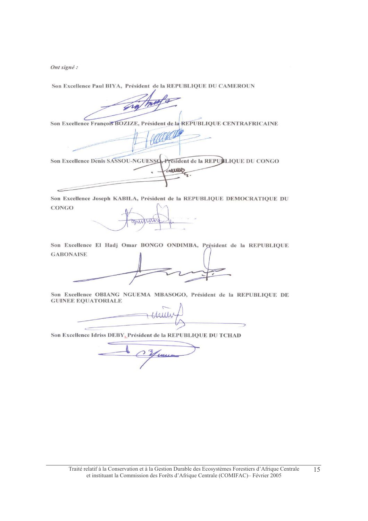Ont signé :

Son Excellence Paul BIYA, Président de la REPUBLIQUE DU CAMEROUN

Son Excellence François BOZIZE, Président de la REPUBLIQUE CENTRAFRICAINE

Son Excellence Denis SASSOU-NGUESSO President de la REPULIQUE DU CONGO

Son Excellence Joseph KABILA, Président de la REPUBLIQUE DEMOCRATIQUE DU **CONGO** 

Son Excellence El Hadj Omar BONGO ONDIMBA, Président de la REPUBLIQUE **GABONAISE** 

Son Excellence OBIANG NGUEMA MBASOGO, Président de la REPUBLIQUE DE **GUINEE EQUATORIALE** 

Son Excellence Idriss DEBY, Président de la REPUBLIQUE DU TCHAD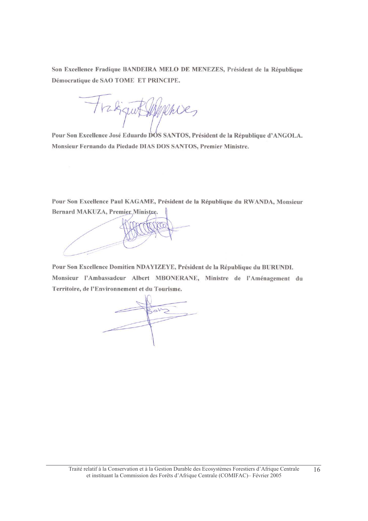Son Excellence Fradique BANDEIRA MELO DE MENEZES, Président de la République Démocratique de SAO TOME ET PRINCIPE.

mies

Pour Son Excellence José Eduardo DÓS SANTOS, Président de la République d'ANGOLA. Monsieur Fernando da Piedade DIAS DOS SANTOS, Premier Ministre.

Pour Son Excellence Paul KAGAME, Président de la République du RWANDA, Monsieur Bernard MAKUZA, Premier Ministre.

Pour Son Excellence Domitien NDAYIZEYE, Président de la République du BURUNDI. Monsieur l'Ambassadeur Albert MBONERANE, Ministre de l'Aménagement du Territoire, de l'Environnement et du Tourisme.

ROVS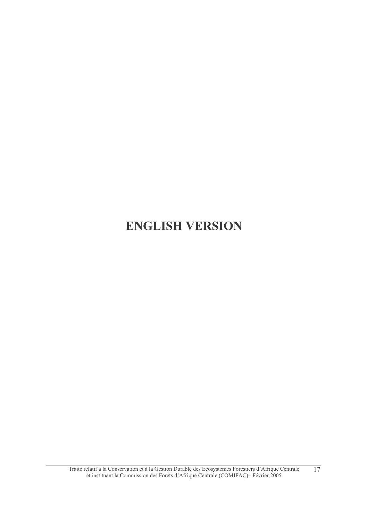# **ENGLISH VERSION**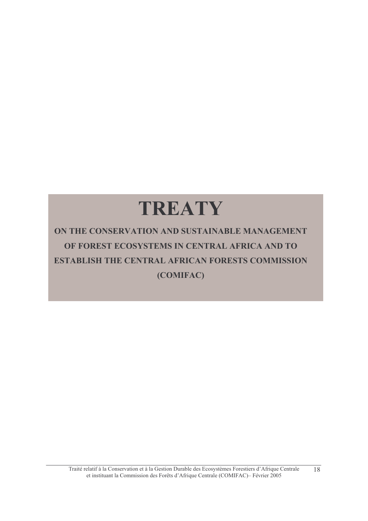# TREATY

ON THE CONSERVATION AND SUSTAINABLE MANAGEMENT OF FOREST ECOSYSTEMS IN CENTRAL AFRICA AND TO **ESTABLISH THE CENTRAL AFRICAN FORESTS COMMISSION** (COMIFAC)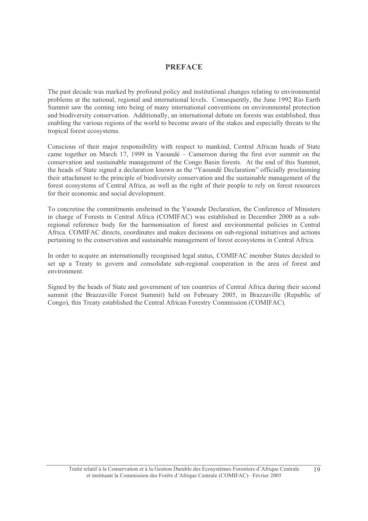#### **PREFACE**

The past decade was marked by profound policy and institutional changes relating to environmental problems at the national, regional and international levels. Consequently, the June 1992 Rio Earth Summit saw the coming into being of many international conventions on environmental protection and biodiversity conservation. Additionally, an international debate on forests was established, thus enabling the various regions of the world to become aware of the stakes and especially threats to the tropical forest ecosystems.

Conscious of their major responsibility with respect to mankind, Central African heads of State came together on March 17, 1999 in Yaoundé – Cameroon during the first ever summit on the conservation and sustainable management of the Congo Basin forests. At the end of this Summit, the heads of State signed a declaration known as the "Yaoundé Declaration" officially proclaiming their attachment to the principle of biodiversity conservation and the sustainable management of the forest ecosystems of Central Africa, as well as the right of their people to rely on forest resources for their economic and social development.

To concretise the commitments enshrined in the Yaounde Declaration, the Conference of Ministers in charge of Forests in Central Africa (COMIFAC) was established in December 2000 as a subregional reference body for the harmonisation of forest and environmental policies in Central Africa. COMIFAC directs, coordinates and makes decisions on sub-regional initiatives and actions pertaining to the conservation and sustainable management of forest ecosystems in Central Africa.

In order to acquire an internationally recognised legal status, COMIFAC member States decided to set up a Treaty to govern and consolidate sub-regional cooperation in the area of forest and environment

Signed by the heads of State and government of ten countries of Central Africa during their second summit (the Brazzaville Forest Summit) held on February 2005, in Brazzaville (Republic of Congo), this Treaty established the Central African Forestry Commission (COMIFAC).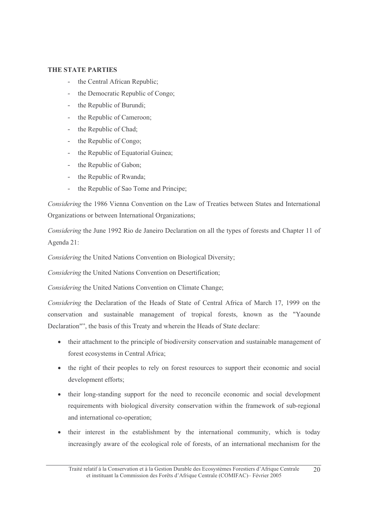#### **THE STATE PARTIES**

- the Central African Republic;
- the Democratic Republic of Congo:
- the Republic of Burundi:  $\sim$
- the Republic of Cameroon;
- the Republic of Chad;  $\sim$
- the Republic of Congo;  $\mathbb{R}^{\mathbb{Z}}$
- the Republic of Equatorial Guinea;  $\sim$
- $\mathbb{R}^{\mathbb{Z}^2}$ the Republic of Gabon;
- the Republic of Rwanda;
- the Republic of Sao Tome and Principe;

Considering the 1986 Vienna Convention on the Law of Treaties between States and International Organizations or between International Organizations:

Considering the June 1992 Rio de Janeiro Declaration on all the types of forests and Chapter 11 of Agenda 21:

Considering the United Nations Convention on Biological Diversity;

Considering the United Nations Convention on Desertification;

Considering the United Nations Convention on Climate Change;

Considering the Declaration of the Heads of State of Central Africa of March 17, 1999 on the conservation and sustainable management of tropical forests, known as the "Yaounde Declaration"", the basis of this Treaty and wherein the Heads of State declare:

- their attachment to the principle of biodiversity conservation and sustainable management of forest ecosystems in Central Africa;
- the right of their peoples to rely on forest resources to support their economic and social development efforts;
- their long-standing support for the need to reconcile economic and social development requirements with biological diversity conservation within the framework of sub-regional and international co-operation;
- their interest in the establishment by the international community, which is today increasingly aware of the ecological role of forests, of an international mechanism for the

Traité relatif à la Conservation et à la Gestion Durable des Ecosystèmes Forestiers d'Afrique Centrale 20 et instituant la Commission des Forêts d'Afrique Centrale (COMIFAC) – Février 2005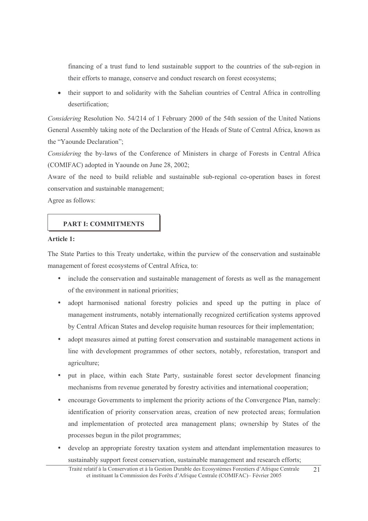financing of a trust fund to lend sustainable support to the countries of the sub-region in their efforts to manage, conserve and conduct research on forest ecosystems;

their support to and solidarity with the Sahelian countries of Central Africa in controlling desertification;

Considering Resolution No. 54/214 of 1 February 2000 of the 54th session of the United Nations General Assembly taking note of the Declaration of the Heads of State of Central Africa, known as the "Yaounde Declaration":

Considering the by-laws of the Conference of Ministers in charge of Forests in Central Africa (COMIFAC) adopted in Yaounde on June 28, 2002;

Aware of the need to build reliable and sustainable sub-regional co-operation bases in forest conservation and sustainable management;

Agree as follows:

# **PART I: COMMITMENTS**

#### **Article 1:**

The State Parties to this Treaty undertake, within the purview of the conservation and sustainable management of forest ecosystems of Central Africa, to:

- include the conservation and sustainable management of forests as well as the management of the environment in national priorities:
- $\bullet$  . adopt harmonised national forestry policies and speed up the putting in place of management instruments, notably internationally recognized certification systems approved by Central African States and develop requisite human resources for their implementation;
- adopt measures aimed at putting forest conservation and sustainable management actions in line with development programmes of other sectors, notably, reforestation, transport and agriculture;
- put in place, within each State Party, sustainable forest sector development financing mechanisms from revenue generated by forestry activities and international cooperation;
- encourage Governments to implement the priority actions of the Convergence Plan, namely: identification of priority conservation areas, creation of new protected areas; formulation and implementation of protected area management plans; ownership by States of the processes begun in the pilot programmes;
- develop an appropriate forestry taxation system and attendant implementation measures to sustainably support forest conservation, sustainable management and research efforts;

Traité relatif à la Conservation et à la Gestion Durable des Ecosystèmes Forestiers d'Afrique Centrale  $21$ et instituant la Commission des Forêts d'Afrique Centrale (COMIFAC) – Février 2005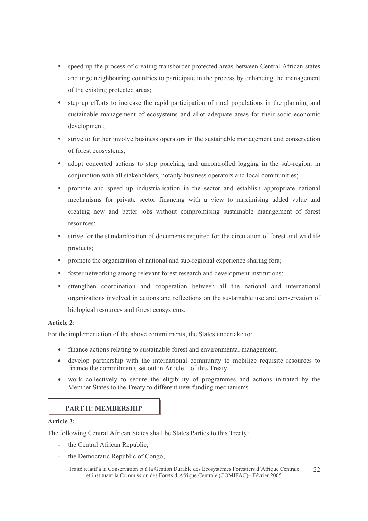- speed up the process of creating transborder protected areas between Central African states and urge neighbouring countries to participate in the process by enhancing the management of the existing protected areas;
- step up efforts to increase the rapid participation of rural populations in the planning and sustainable management of ecosystems and allot adequate areas for their socio-economic development;
- strive to further involve business operators in the sustainable management and conservation of forest ecosystems;
- adopt concerted actions to stop poaching and uncontrolled logging in the sub-region, in conjunction with all stakeholders, notably business operators and local communities;
- promote and speed up industrialisation in the sector and establish appropriate national mechanisms for private sector financing with a view to maximising added value and creating new and better jobs without compromising sustainable management of forest resources:
- strive for the standardization of documents required for the circulation of forest and wildlife products:
- promote the organization of national and sub-regional experience sharing fora;
- foster networking among relevant forest research and development institutions;
- strengthen coordination and cooperation between all the national and international organizations involved in actions and reflections on the sustainable use and conservation of biological resources and forest ecosystems.

#### Article 2:

For the implementation of the above commitments, the States undertake to:

- finance actions relating to sustainable forest and environmental management;
- develop partnership with the international community to mobilize requisite resources to  $\bullet$ finance the commitments set out in Article 1 of this Treaty.
- work collectively to secure the eligibility of programmes and actions initiated by the  $\bullet$ Member States to the Treaty to different new funding mechanisms.

#### **PART II: MEMBERSHIP**

#### Article 3:

The following Central African States shall be States Parties to this Treaty:

- the Central African Republic:
- the Democratic Republic of Congo;

Traité relatif à la Conservation et à la Gestion Durable des Ecosystèmes Forestiers d'Afrique Centrale et instituant la Commission des Forêts d'Afrique Centrale (COMIFAC) – Février 2005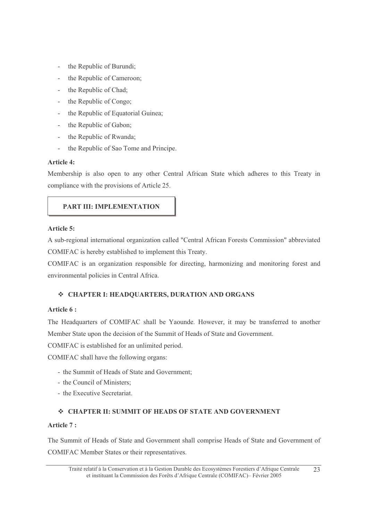- the Republic of Burundi;
- the Republic of Cameroon;
- the Republic of Chad;
- the Republic of Congo;  $\omega$  .
- the Republic of Equatorial Guinea;  $\mathbb{R}^{\mathbb{Z}}$
- the Republic of Gabon;
- the Republic of Rwanda;
- the Republic of Sao Tome and Principe.

#### Article 4:

Membership is also open to any other Central African State which adheres to this Treaty in compliance with the provisions of Article 25.

# PART III: IMPLEMENTATION

#### Article 5:

A sub-regional international organization called "Central African Forests Commission" abbreviated COMIFAC is hereby established to implement this Treaty.

COMIFAC is an organization responsible for directing, harmonizing and monitoring forest and environmental policies in Central Africa.

# ❖ CHAPTER I: HEADQUARTERS, DURATION AND ORGANS

#### Article 6:

The Headquarters of COMIFAC shall be Yaounde. However, it may be transferred to another Member State upon the decision of the Summit of Heads of State and Government.

COMIFAC is established for an unlimited period.

COMIFAC shall have the following organs:

- the Summit of Heads of State and Government:
- the Council of Ministers:
- the Executive Secretariat.

# ❖ CHAPTER II: SUMMIT OF HEADS OF STATE AND GOVERNMENT

#### Article  $7:$

The Summit of Heads of State and Government shall comprise Heads of State and Government of **COMIFAC Member States or their representatives.**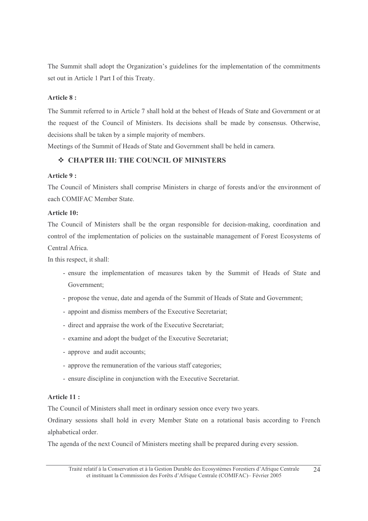The Summit shall adopt the Organization's guidelines for the implementation of the commitments set out in Article 1 Part I of this Treaty.

#### Article 8:

The Summit referred to in Article 7 shall hold at the behest of Heads of State and Government or at the request of the Council of Ministers. Its decisions shall be made by consensus. Otherwise, decisions shall be taken by a simple majority of members.

Meetings of the Summit of Heads of State and Government shall be held in camera.

# ❖ CHAPTER III: THE COUNCIL OF MINISTERS

#### Article 9:

The Council of Ministers shall comprise Ministers in charge of forests and/or the environment of each COMIFAC Member State.

#### **Article 10:**

The Council of Ministers shall be the organ responsible for decision-making, coordination and control of the implementation of policies on the sustainable management of Forest Ecosystems of Central Africa.

In this respect, it shall:

- ensure the implementation of measures taken by the Summit of Heads of State and Government:
- propose the venue, date and agenda of the Summit of Heads of State and Government;
- appoint and dismiss members of the Executive Secretariat;
- direct and appraise the work of the Executive Secretariat:
- examine and adopt the budget of the Executive Secretariat;
- approve and audit accounts;
- approve the remuneration of the various staff categories;
- ensure discipline in conjunction with the Executive Secretariat.

#### Article 11:

The Council of Ministers shall meet in ordinary session once every two years.

Ordinary sessions shall hold in every Member State on a rotational basis according to French alphabetical order.

The agenda of the next Council of Ministers meeting shall be prepared during every session.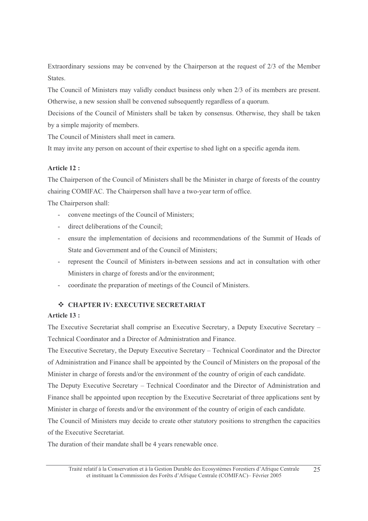Extraordinary sessions may be convened by the Chairperson at the request of 2/3 of the Member States.

The Council of Ministers may validly conduct business only when 2/3 of its members are present. Otherwise, a new session shall be convened subsequently regardless of a quorum.

Decisions of the Council of Ministers shall be taken by consensus. Otherwise, they shall be taken by a simple majority of members.

The Council of Ministers shall meet in camera.

It may invite any person on account of their expertise to shed light on a specific agenda item.

# Article 12 :

The Chairperson of the Council of Ministers shall be the Minister in charge of forests of the country chairing COMIFAC. The Chairperson shall have a two-year term of office.

The Chairperson shall:

- convene meetings of the Council of Ministers;
- direct deliberations of the Council;  $\omega_{\rm{max}}$
- ensure the implementation of decisions and recommendations of the Summit of Heads of  $\mathcal{L}^{\text{max}}$ State and Government and of the Council of Ministers:
- represent the Council of Ministers in-between sessions and act in consultation with other  $\omega_{\rm{eff}}$ Ministers in charge of forests and/or the environment;
- coordinate the preparation of meetings of the Council of Ministers.

# $\triangle$  **CHAPTER IV: EXECUTIVE SECRETARIAT**

### Article 13:

The Executive Secretariat shall comprise an Executive Secretary, a Deputy Executive Secretary -Technical Coordinator and a Director of Administration and Finance.

The Executive Secretary, the Deputy Executive Secretary – Technical Coordinator and the Director of Administration and Finance shall be appointed by the Council of Ministers on the proposal of the Minister in charge of forests and/or the environment of the country of origin of each candidate.

The Deputy Executive Secretary – Technical Coordinator and the Director of Administration and Finance shall be appointed upon reception by the Executive Secretariat of three applications sent by Minister in charge of forests and/or the environment of the country of origin of each candidate.

The Council of Ministers may decide to create other statutory positions to strengthen the capacities of the Executive Secretariat.

The duration of their mandate shall be 4 years renewable once.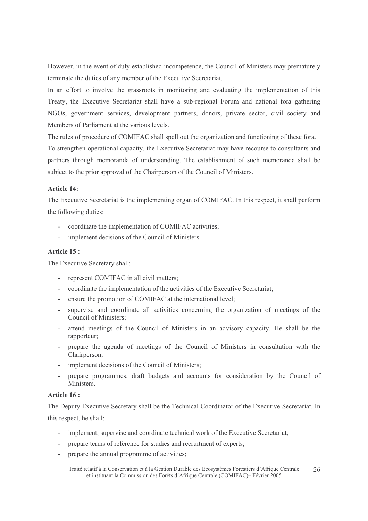However, in the event of duly established incompetence, the Council of Ministers may prematurely terminate the duties of any member of the Executive Secretariat.

In an effort to involve the grassroots in monitoring and evaluating the implementation of this Treaty, the Executive Secretariat shall have a sub-regional Forum and national fora gathering NGOs, government services, development partners, donors, private sector, civil society and Members of Parliament at the various levels.

The rules of procedure of COMIFAC shall spell out the organization and functioning of these fora. To strengthen operational capacity, the Executive Secretariat may have recourse to consultants and partners through memoranda of understanding. The establishment of such memoranda shall be subject to the prior approval of the Chairperson of the Council of Ministers.

#### Article 14:

The Executive Secretariat is the implementing organ of COMIFAC. In this respect, it shall perform the following duties:

- coordinate the implementation of COMIFAC activities;
- implement decisions of the Council of Ministers.

#### Article 15 :

The Executive Secretary shall:

- represent COMIFAC in all civil matters;
- coordinate the implementation of the activities of the Executive Secretariat;  $\omega$  .
- ensure the promotion of COMIFAC at the international level;  $\sim$
- supervise and coordinate all activities concerning the organization of meetings of the  $\sim$ Council of Ministers:
- attend meetings of the Council of Ministers in an advisory capacity. He shall be the  $\mathcal{L}^{\text{max}}$ rapporteur;
- prepare the agenda of meetings of the Council of Ministers in consultation with the Chairperson;
- implement decisions of the Council of Ministers;
- prepare programmes, draft budgets and accounts for consideration by the Council of Ministers.

#### Article 16:

The Deputy Executive Secretary shall be the Technical Coordinator of the Executive Secretariat. In this respect, he shall:

- implement, supervise and coordinate technical work of the Executive Secretariat;
- prepare terms of reference for studies and recruitment of experts;
- prepare the annual programme of activities;

Traité relatif à la Conservation et à la Gestion Durable des Ecosystèmes Forestiers d'Afrique Centrale 26 et instituant la Commission des Forêts d'Afrique Centrale (COMIFAC) – Février 2005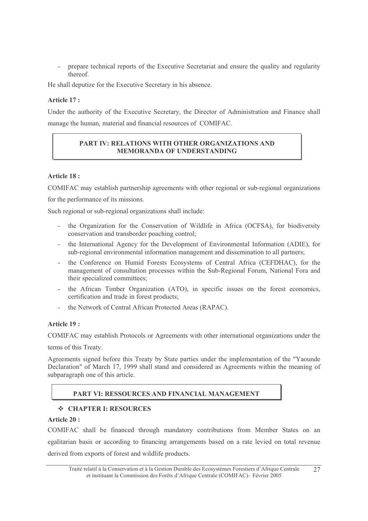prepare technical reports of the Executive Secretariat and ensure the quality and regularity thereof.

He shall deputize for the Executive Secretary in his absence.

#### Article 17:

Under the authority of the Executive Secretary, the Director of Administration and Finance shall manage the human, material and financial resources of COMIFAC.

# PART IV: RELATIONS WITH OTHER ORGANIZATIONS AND **MEMORANDA OF UNDERSTANDING**

# Article 18 :

COMIFAC may establish partnership agreements with other regional or sub-regional organizations

for the performance of its missions.

Such regional or sub-regional organizations shall include:

- the Organization for the Conservation of Wildlife in Africa (OCFSA), for biodiversity conservation and transborder poaching control;
- the International Agency for the Development of Environmental Information (ADIE), for  $\omega_{\rm{eff}}$ sub-regional environmental information management and dissemination to all partners;
- the Conference on Humid Forests Ecosystems of Central Africa (CEFDHAC), for the  $\mathbb{R}^{\mathbb{Z}}$ management of consultation processes within the Sub-Regional Forum, National Fora and their specialized committees;
- the African Timber Organization (ATO), in specific issues on the forest economics, certification and trade in forest products;
- the Network of Central African Protected Areas (RAPAC).  $\mathbf{r}$

#### Article 19:

COMIFAC may establish Protocols or Agreements with other international organizations under the

terms of this Treaty.

Agreements signed before this Treaty by State parties under the implementation of the "Yaounde" Declaration" of March 17, 1999 shall stand and considered as Agreements within the meaning of subparagraph one of this article.

# PART VI: RESSOURCES AND FINANCIAL MANAGEMENT

#### ❖ CHAPTER I: RESOURCES

#### Article 20:

COMIFAC shall be financed through mandatory contributions from Member States on an egalitarian basis or according to financing arrangements based on a rate levied on total revenue derived from exports of forest and wildlife products.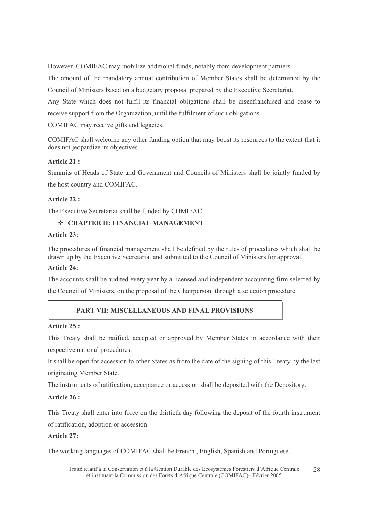However, COMIFAC may mobilize additional funds, notably from development partners.

The amount of the mandatory annual contribution of Member States shall be determined by the Council of Ministers based on a budgetary proposal prepared by the Executive Secretariat.

Any State which does not fulfil its financial obligations shall be disenfranchised and cease to receive support from the Organization, until the fulfilment of such obligations.

COMIFAC may receive gifts and legacies.

COMIFAC shall welcome any other funding option that may boost its resources to the extent that it does not jeopardize its objectives.

# Article 21:

Summits of Heads of State and Government and Councils of Ministers shall be jointly funded by the host country and COMIFAC.

# Article 22 :

The Executive Secretariat shall be funded by COMIFAC.

# $\diamond$  **CHAPTER II: FINANCIAL MANAGEMENT**

#### Article 23:

The procedures of financial management shall be defined by the rules of procedures which shall be drawn up by the Executive Secretariat and submitted to the Council of Ministers for approval.

#### Article 24:

The accounts shall be audited every year by a licensed and independent accounting firm selected by

the Council of Ministers, on the proposal of the Chairperson, through a selection procedure.

# **PART VII: MISCELLANEOUS AND FINAL PROVISIONS**

#### Article 25 :

This Treaty shall be ratified, accepted or approved by Member States in accordance with their respective national procedures.

It shall be open for accession to other States as from the date of the signing of this Treaty by the last originating Member State.

The instruments of ratification, acceptance or accession shall be deposited with the Depository.

# Article 26:

This Treaty shall enter into force on the thirtieth day following the deposit of the fourth instrument of ratification, adoption or accession.

# **Article 27:**

The working languages of COMIFAC shall be French, English, Spanish and Portuguese.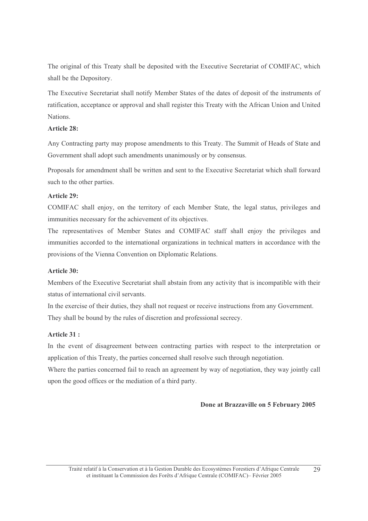The original of this Treaty shall be deposited with the Executive Secretariat of COMIFAC, which shall be the Depository.

The Executive Secretariat shall notify Member States of the dates of deposit of the instruments of ratification, acceptance or approval and shall register this Treaty with the African Union and United Nations.

#### Article 28:

Any Contracting party may propose amendments to this Treaty. The Summit of Heads of State and Government shall adopt such amendments unanimously or by consensus.

Proposals for amendment shall be written and sent to the Executive Secretariat which shall forward such to the other parties.

#### **Article 29:**

COMIFAC shall enjoy, on the territory of each Member State, the legal status, privileges and immunities necessary for the achievement of its objectives.

The representatives of Member States and COMIFAC staff shall enjoy the privileges and immunities accorded to the international organizations in technical matters in accordance with the provisions of the Vienna Convention on Diplomatic Relations.

#### Article 30:

Members of the Executive Secretariat shall abstain from any activity that is incompatible with their status of international civil servants.

In the exercise of their duties, they shall not request or receive instructions from any Government. They shall be bound by the rules of discretion and professional secrecy.

#### Article 31:

In the event of disagreement between contracting parties with respect to the interpretation or application of this Treaty, the parties concerned shall resolve such through negotiation.

Where the parties concerned fail to reach an agreement by way of negotiation, they way jointly call upon the good offices or the mediation of a third party.

#### Done at Brazzaville on 5 February 2005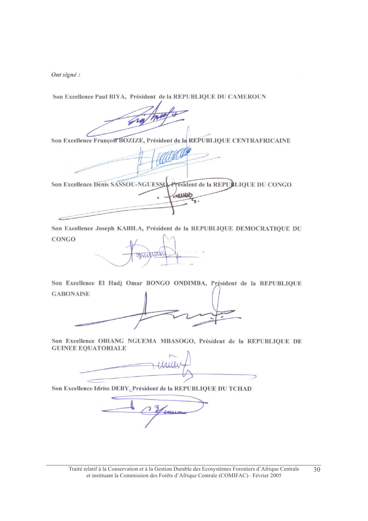Ont signé :

Son Excellence Paul BIYA, Président de la REPUBLIQUE DU CAMEROUN

Son Excellence François BOZIZE, Président de la REPUBLIQUE CENTRAFRICAINE

Son Excellence Denis SASSOU-NGUESSO, President de la REPUBLIQUE DU CONGO لللائع

Son Excellence Joseph KABILA, Président de la REPUBLIQUE DEMOCRATIQUE DU **CONGO** 

Son Excellence El Hadj Omar BONGO ONDIMBA, Président de la REPUBLIQUE **GABONAISE** 

Son Excellence OBIANG NGUEMA MBASOGO, Président de la REPUBLIQUE DE **GUINEE EQUATORIALE** 

Son Excellence Idriss DEBY, Président de la REPUBLIQUE DU TCHAD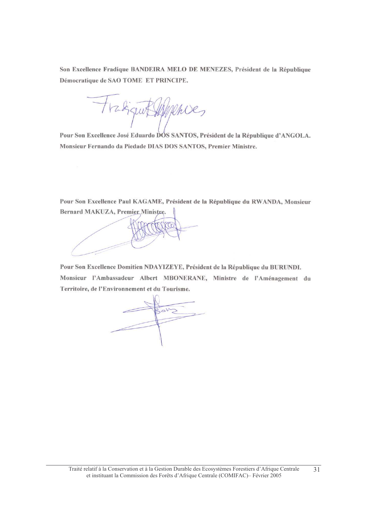Son Excellence Fradique BANDEIRA MELO DE MENEZES, Président de la République Démocratique de SAO TOME ET PRINCIPE.

mies ru

Pour Son Excellence José Eduardo DOS SANTOS, Président de la République d'ANGOLA. Monsieur Fernando da Piedade DIAS DOS SANTOS, Premier Ministre.

Pour Son Excellence Paul KAGAME, Président de la République du RWANDA, Monsieur Bernard MAKUZA, Premier Ministre.

Pour Son Excellence Domitien NDAYIZEYE, Président de la République du BURUNDI. Monsieur l'Ambassadeur Albert MBONERANE, Ministre de l'Aménagement du Territoire, de l'Environnement et du Tourisme.

 $204$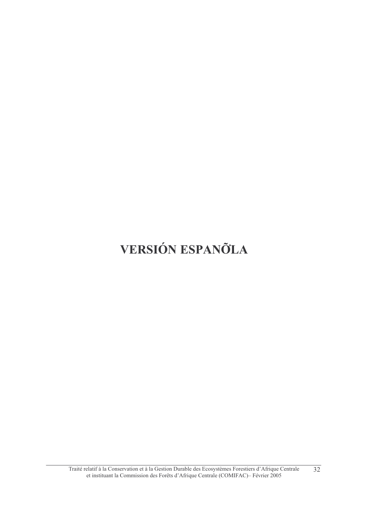# VERSIÓN ESPANÕLA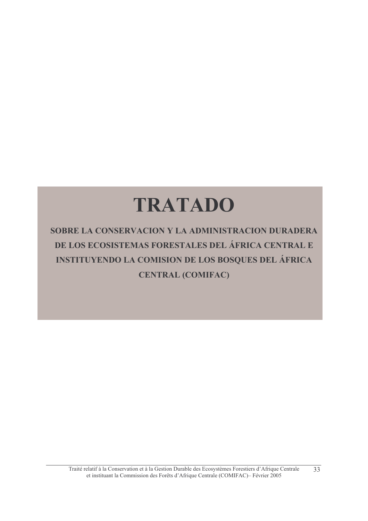# **TRATADO**

SOBRE LA CONSERVACION Y LA ADMINISTRACION DURADERA DE LOS ECOSISTEMAS FORESTALES DEL ÁFRICA CENTRAL E INSTITUYENDO LA COMISION DE LOS BOSQUES DEL ÁFRICA **CENTRAL (COMIFAC)**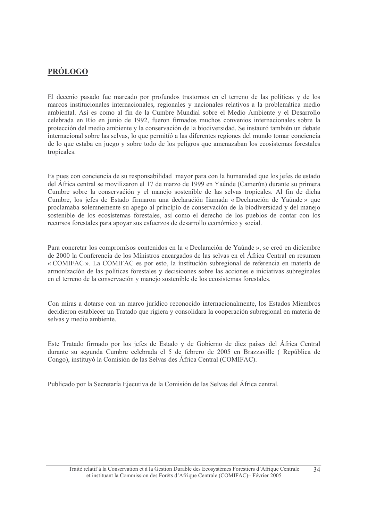# **PRÓLOGO**

El decenio pasado fue marcado por profundos trastornos en el terreno de las políticas y de los marcos institucionales internacionales, regionales y nacionales relativos a la problemática medio ambiental. Así es como al fin de la Cumbre Mundial sobre el Medio Ambiente y el Desarrollo celebrada en Río en junio de 1992, fueron firmados muchos convenios internacionales sobre la protección del medio ambiente y la conservación de la biodiversidad. Se instauró también un debate internacional sobre las selvas, lo que permitió a las diferentes regiones del mundo tomar conciencia de lo que estaba en juego y sobre todo de los peligros que amenazaban los ecosistemas forestales tropicales.

Es pues con conciencia de su responsabilidad mayor para con la humanidad que los jefes de estado del África central se movilizaron el 17 de marzo de 1999 en Yaúnde (Camerún) durante su primera Cumbre sobre la conservación y el manejo sostenible de las selvas tropicales. Al fin de dicha Cumbre, los jefes de Estado firmaron una declaración Iiamada « Declaración de Yaúnde » que proclamaba solemnemente su apego al príncipio de conservación de la biodiversidad y del manejo sostenible de los ecosístemas forestales, así como el derecho de los pueblos de contar con los recursos forestales para apovar sus esfuerzos de desarrollo económico y social.

Para concretar los compromísos contenidos en la « Declaración de Yaúnde », se creó en díciembre de 2000 la Conferencía de los Mínistros encargados de las selvas en el África Central en resumen « COMIFAC ». La COMIFAC es por esto, la institución subregional de referencia en matería de armonización de las políticas forestales y decisiones sobre las acciones e iniciativas subreginales en el terreno de la conservación y manejo sostenible de los ecosistemas forestales.

Con míras a dotarse con un marco jurídico reconocido internacionalmente, los Estados Miembros decidieron establecer un Tratado que rigiera y consolidara la cooperación subregional en materia de selvas y medio ambiente.

Este Tratado firmado por los jefes de Estado y de Gobierno de diez países del África Central durante su segunda Cumbre celebrada el 5 de febrero de 2005 en Brazzaville (República de Congo), instituyó la Comisión de las Selvas des África Central (COMIFAC).

Publicado por la Secretaría Ejecutiva de la Comisión de las Selvas del África central.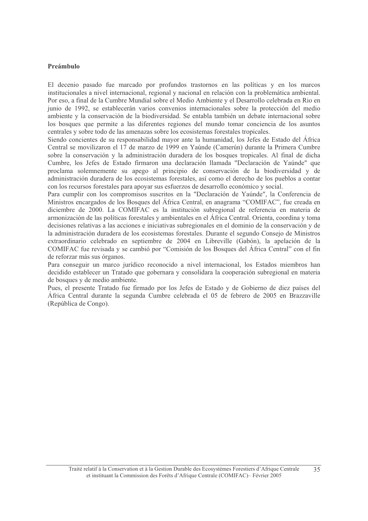#### Preámbulo

El decenio pasado fue marcado por profundos trastornos en las políticas y en los marcos institucionales a nivel internacional, regional y nacional en relación con la problemática ambiental. Por eso, a final de la Cumbre Mundial sobre el Medio Ambiente y el Desarrollo celebrada en Rio en junio de 1992, se establecerán varios convenios internacionales sobre la protección del medio ambiente y la conservación de la biodiversidad. Se entabla también un debate internacional sobre los bosques que permite a las diferentes regiones del mundo tomar conciencia de los asuntos centrales y sobre todo de las amenazas sobre los ecosistemas forestales tropicales.

Siendo concientes de su responsabilidad mayor ante la humanidad, los Jefes de Estado del África Central se movilizaron el 17 de marzo de 1999 en Yaúnde (Camerún) durante la Primera Cumbre sobre la conservación y la administración duradera de los bosques tropicales. Al final de dicha Cumbre, los Jefes de Estado firmaron una declaración llamada "Declaración de Yaúnde" que proclama solemnemente su apego al principio de conservación de la biodiversidad y de administración duradera de los ecosistemas forestales, así como el derecho de los pueblos a contar con los recursos forestales para apoyar sus esfuerzos de desarrollo económico y social.

Para cumplir con los compromisos suscritos en la "Declaración de Yaúnde", la Conferencia de Ministros encargados de los Bosques del África Central, en anagrama "COMIFAC", fue creada en diciembre de 2000. La COMIFAC es la institución subregional de referencia en materia de armonización de las políticas forestales y ambientales en el África Central. Orienta, coordina y toma decisiones relativas a las acciones e iniciativas subregionales en el dominio de la conservación y de la administración duradera de los ecosistemas forestales. Durante el segundo Consejo de Ministros extraordinario celebrado en septiembre de 2004 en Libreville (Gabón), la apelación de la COMIFAC fue revisada y se cambió por "Comisión de los Bosques del África Central" con el fin de reforzar más sus órganos.

Para conseguir un marco jurídico reconocido a nivel internacional, los Estados miembros han decidido establecer un Tratado que gobernara y consolidara la cooperación subregional en materia de bosques y de medio ambiente.

Pues, el presente Tratado fue firmado por los Jefes de Estado y de Gobierno de diez países del África Central durante la segunda Cumbre celebrada el 05 de febrero de 2005 en Brazzaville (República de Congo).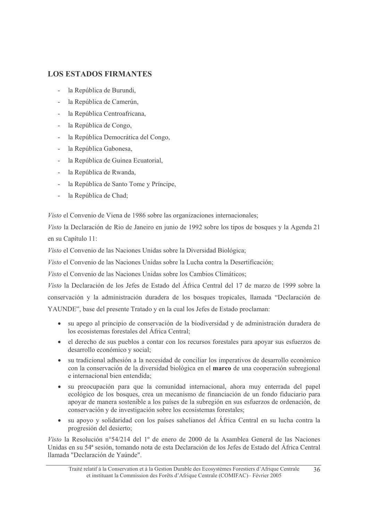# **LOS ESTADOS FIRMANTES**

- la República de Burundi,
- la República de Camerún,
- la República Centroafricana,
- la República de Congo,
- la República Democrática del Congo,
- la República Gabonesa,
- la República de Guinea Ecuatorial,
- la República de Rwanda,
- la República de Santo Tome y Príncipe,
- la República de Chad;

Visto el Convenio de Viena de 1986 sobre las organizaciones internacionales;

Visto la Declaración de Rio de Janeiro en junio de 1992 sobre los tipos de bosques y la Agenda 21 en su Capítulo 11:

Visto el Convenio de las Naciones Unidas sobre la Diversidad Biológica;

Visto el Convenio de las Naciones Unidas sobre la Lucha contra la Desertificación:

Visto el Convenio de las Naciones Unidas sobre los Cambios Climáticos;

Visto la Declaración de los Jefes de Estado del África Central del 17 de marzo de 1999 sobre la conservación y la administración duradera de los bosques tropicales, llamada "Declaración de YAUNDE", base del presente Tratado y en la cual los Jefes de Estado proclaman:

- su apego al principio de conservación de la biodiversidad y de administración duradera de los ecosistemas forestales del África Central:
- el derecho de sus pueblos a contar con los recursos forestales para apoyar sus esfuerzos de  $\bullet$ desarrollo económico y social;
- su tradicional adhesión a la necesidad de conciliar los imperativos de desarrollo económico  $\bullet$ con la conservación de la diversidad biológica en el marco de una cooperación subregional e internacional bien entendida;
- su preocupación para que la comunidad internacional, ahora muy enterrada del papel  $\bullet$ ecológico de los bosques, crea un mecanismo de financiación de un fondo fiduciario para apoyar de manera sostenible a los países de la subregión en sus esfuerzos de ordenación, de conservación y de investigación sobre los ecosistemas forestales:
- su apoyo y solidaridad con los países sahelianos del África Central en su lucha contra la  $\bullet$ progresión del desierto;

Visto la Resolución nº 54/214 del 1º de enero de 2000 de la Asamblea General de las Naciones Unidas en su 54ª sesión, tomando nota de esta Declaración de los Jefes de Estado del África Central llamada "Declaración de Yaúnde".

Traité relatif à la Conservation et à la Gestion Durable des Ecosystèmes Forestiers d'Afrique Centrale  $36$ et instituant la Commission des Forêts d'Afrique Centrale (COMIFAC) - Février 2005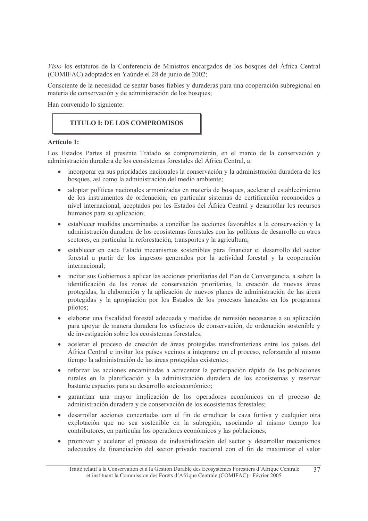Visto los estatutos de la Conferencia de Ministros encargados de los bosques del África Central (COMIFAC) adoptados en Yaúnde el 28 de junio de 2002;

Consciente de la necesidad de sentar bases fiables y duraderas para una cooperación subregional en materia de conservación y de administración de los bosques;

Han convenido lo siguiente:

### **TITULO I: DE LOS COMPROMISOS**

#### Artículo 1:

Los Estados Partes al presente Tratado se comprometerán, en el marco de la conservación y administración duradera de los ecosistemas forestales del África Central, a:

- incorporar en sus prioridades nacionales la conservación y la administración duradera de los bosques, así como la administración del medio ambiente;
- $\bullet$ adoptar políticas nacionales armonizadas en materia de bosques, acelerar el establecimiento de los instrumentos de ordenación, en particular sistemas de certificación reconocidos a nivel internacional, aceptados por les Estados del África Central y desarrollar los recursos humanos para su aplicación;
- establecer medidas encaminadas a conciliar las acciones favorables a la conservación y la administración duradera de los ecosistemas forestales con las políticas de desarrollo en otros sectores, en particular la reforestación, transportes y la agricultura;
- establecer en cada Estado mecanismos sostenibles para financiar el desarrollo del sector forestal a partir de los ingresos generados por la actividad forestal y la cooperación internacional;
- incitar sus Gobiernos a aplicar las acciones prioritarias del Plan de Convergencia, a saber: la identificación de las zonas de conservación prioritarias, la creación de nuevas áreas protegidas, la elaboración y la aplicación de nuevos planes de administración de las áreas protegidas y la apropiación por los Estados de los procesos lanzados en los programas pilotos;
- elaborar una fiscalidad forestal adecuada y medidas de remisión necesarias a su aplicación para apoyar de manera duradera los esfuerzos de conservación, de ordenación sostenible y de investigación sobre los ecosistemas forestales;
- acelerar el proceso de creación de áreas protegidas transfronterizas entre los países del  $\bullet$ África Central e invitar los países vecinos a integrarse en el proceso, reforzando al mismo tiempo la administración de las áreas protegidas existentes;
- reforzar las acciones encaminadas a acrecentar la participación rápida de las poblaciones  $\bullet$ rurales en la planificación y la administración duradera de los ecosistemas y reservar bastante espacios para su desarrollo socioeconómico;
- garantizar una mayor implicación de los operadores económicos en el proceso de administración duradera y de conservación de los ecosistemas forestales;
- desarrollar acciones concertadas con el fin de erradicar la caza furtiva y cualquier otra explotación que no sea sostenible en la subregión, asociando al mismo tiempo los contributores, en particular los operadores económicos y las poblaciones;
- promover y acelerar el proceso de industrialización del sector y desarrollar mecanismos adecuados de financiación del sector privado nacional con el fin de maximizar el valor

Traité relatif à la Conservation et à la Gestion Durable des Ecosystèmes Forestiers d'Afrique Centrale  $37$ et instituant la Commission des Forêts d'Afrique Centrale (COMIFAC)- Février 2005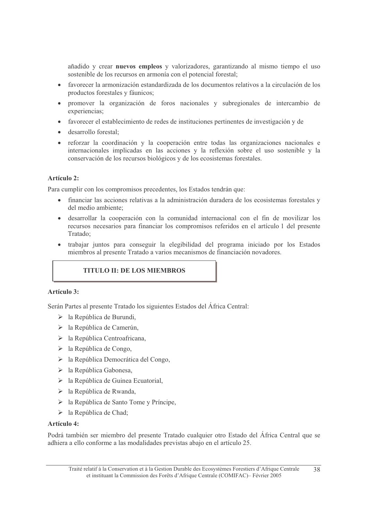añadido y crear nuevos empleos y valorizadores, garantizando al mismo tiempo el uso sostenible de los recursos en armonía con el potencial forestal;

- favorecer la armonización estandardizada de los documentos relativos a la circulación de los productos forestales y fáunicos;
- promover la organización de foros nacionales y subregionales de intercambio de experiencias;
- favorecer el establecimiento de redes de instituciones pertinentes de investigación y de
- desarrollo forestal;
- reforzar la coordinación y la cooperación entre todas las organizaciones nacionales e  $\bullet$ internacionales implicadas en las acciones y la reflexión sobre el uso sostenible y la conservación de los recursos biológicos y de los ecosistemas forestales.

#### Artículo 2:

Para cumplir con los compromisos precedentes, los Estados tendrán que:

- financiar las acciones relativas a la administración duradera de los ecosistemas forestales y del medio ambiente:
- · desarrollar la cooperación con la comunidad internacional con el fin de movilizar los recursos necesarios para financiar los compromisos referidos en el artículo 1 del presente Tratado:
- trabajar juntos para conseguir la elegibilidad del programa iniciado por los Estados miembros al presente Tratado a varios mecanismos de financiación novadores.

# **TITULO II: DE LOS MIEMBROS**

#### Artículo 3:

Serán Partes al presente Tratado los siguientes Estados del África Central:

- $\triangleright$  la República de Burundi,
- $\triangleright$  la República de Camerún,
- $\triangleright$  la República Centroafricana,
- $\triangleright$  la República de Congo,
- $\triangleright$  la República Democrática del Congo,
- $\triangleright$  la República Gabonesa,
- $\triangleright$  la República de Guinea Ecuatorial,
- $\triangleright$  la República de Rwanda,
- $\triangleright$  la República de Santo Tome y Príncipe,
- $\triangleright$  la República de Chad:

#### Artículo 4:

Podrá también ser miembro del presente Tratado cualquier otro Estado del África Central que se adhiera a ello conforme a las modalidades previstas abajo en el artículo 25.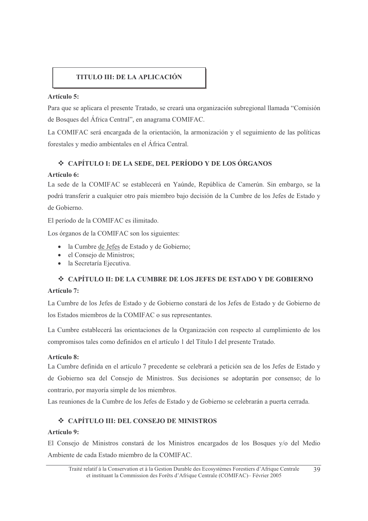# **TITULO III: DE LA APLICACIÓN**

#### Artículo 5:

Para que se aplicara el presente Tratado, se creará una organización subregional llamada "Comisión" de Bosques del África Central", en anagrama COMIFAC.

La COMIFAC será encargada de la orientación, la armonización y el seguimiento de las políticas forestales y medio ambientales en el África Central.

# ❖ CAPÍTULO I: DE LA SEDE, DEL PERÍODO Y DE LOS ÓRGANOS

#### Artículo 6:

La sede de la COMIFAC se establecerá en Yaúnde, República de Camerún. Sin embargo, se la podrá transferir a cualquier otro país miembro bajo decisión de la Cumbre de los Jefes de Estado y de Gobierno.

El período de la COMIFAC es ilimitado.

Los órganos de la COMIFAC son los siguientes:

- · la Cumbre de Jefes de Estado y de Gobierno;
- el Consejo de Ministros;
- · la Secretaría Ejecutiva.

#### ❖ CAPÍTULO II: DE LA CUMBRE DE LOS JEFES DE ESTADO Y DE GOBIERNO

#### Artículo 7:

La Cumbre de los Jefes de Estado y de Gobierno constará de los Jefes de Estado y de Gobierno de los Estados miembros de la COMIFAC o sus representantes.

La Cumbre establecerá las orientaciones de la Organización con respecto al cumplimiento de los compromisos tales como definidos en el artículo 1 del Título I del presente Tratado.

#### Artículo 8:

La Cumbre definida en el artículo 7 precedente se celebrará a petición sea de los Jefes de Estado y de Gobierno sea del Consejo de Ministros. Sus decisiones se adoptarán por consenso; de lo contrario, por mayoría simple de los miembros.

Las reuniones de la Cumbre de los Jefes de Estado y de Gobierno se celebrarán a puerta cerrada.

# ❖ CAPÍTULO III: DEL CONSEJO DE MINISTROS

#### Artículo 9:

El Consejo de Ministros constará de los Ministros encargados de los Bosques y/o del Medio Ambiente de cada Estado miembro de la COMIFAC.

Traité relatif à la Conservation et à la Gestion Durable des Ecosystèmes Forestiers d'Afrique Centrale 39 et instituant la Commission des Forêts d'Afrique Centrale (COMIFAC)- Février 2005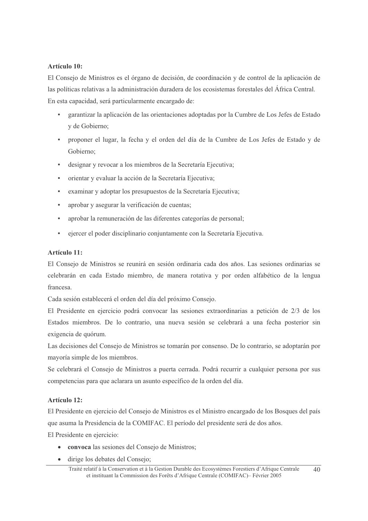#### Artículo 10:

El Consejo de Ministros es el órgano de decisión, de coordinación y de control de la aplicación de las políticas relativas a la administración duradera de los ecosistemas forestales del África Central. En esta capacidad, será particularmente encargado de:

- garantizar la aplicación de las orientaciones adoptadas por la Cumbre de Los Jefes de Estado v de Gobierno:
- proponer el lugar, la fecha y el orden del día de la Cumbre de Los Jefes de Estado y de Gobierno:
- designar y revocar a los miembros de la Secretaría Ejecutiva;
- orientar y evaluar la acción de la Secretaría Ejecutiva;
- examinar y adoptar los presupuestos de la Secretaría Ejecutiva;
- aprobar y asegurar la verificación de cuentas;
- aprobar la remuneración de las diferentes categorías de personal;
- ejercer el poder disciplinario conjuntamente con la Secretaría Ejecutiva.  $\blacksquare$

#### Artículo 11:

El Consejo de Ministros se reunirá en sesión ordinaria cada dos años. Las sesiones ordinarias se celebrarán en cada Estado miembro, de manera rotativa y por orden alfabético de la lengua francesa.

Cada sesión establecerá el orden del día del próximo Consejo.

El Presidente en ejercicio podrá convocar las sesiones extraordinarias a petición de 2/3 de los Estados miembros. De lo contrario, una nueva sesión se celebrará a una fecha posterior sin exigencia de quórum.

Las decisiones del Consejo de Ministros se tomarán por consenso. De lo contrario, se adoptarán por mayoría simple de los miembros.

Se celebrará el Consejo de Ministros a puerta cerrada. Podrá recurrir a cualquier persona por sus competencias para que aclarara un asunto específico de la orden del día.

#### Artículo 12:

El Presidente en ejercicio del Consejo de Ministros es el Ministro encargado de los Bosques del país que asuma la Presidencia de la COMIFAC. El período del presidente será de dos años.

El Presidente en ejercicio:

- convoca las sesiones del Consejo de Ministros;
- dirige los debates del Consejo;

Traité relatif à la Conservation et à la Gestion Durable des Ecosystèmes Forestiers d'Afrique Centrale  $40$ et instituant la Commission des Forêts d'Afrique Centrale (COMIFAC) – Février 2005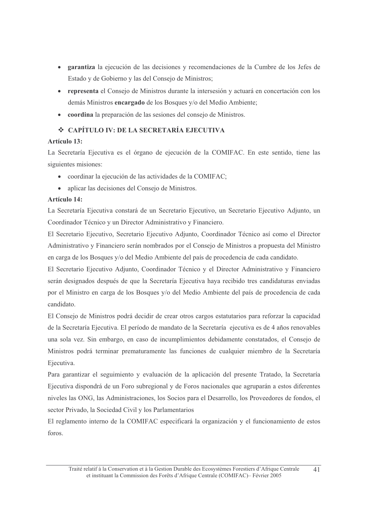- garantiza la ejecución de las decisiones y recomendaciones de la Cumbre de los Jefes de Estado y de Gobierno y las del Consejo de Ministros;
- representa el Consejo de Ministros durante la intersesión y actuará en concertación con los demás Ministros encargado de los Bosques y/o del Medio Ambiente;
- coordina la preparación de las sesiones del consejo de Ministros.

# ❖ CAPÍTULO IV: DE LA SECRETARÍA EJECUTIVA

# **Artículo 13:**

La Secretaría Ejecutiva es el órgano de ejecución de la COMIFAC. En este sentido, tiene las siguientes misiones:

- coordinar la ejecución de las actividades de la COMIFAC;
- $\bullet$ aplicar las decisiones del Consejo de Ministros.

# Artículo 14:

La Secretaría Ejecutiva constará de un Secretario Ejecutivo, un Secretario Ejecutivo Adjunto, un Coordinador Técnico y un Director Administrativo y Financiero.

El Secretario Ejecutivo, Secretario Ejecutivo Adjunto, Coordinador Técnico así como el Director Administrativo y Financiero serán nombrados por el Consejo de Ministros a propuesta del Ministro en carga de los Bosques y/o del Medio Ambiente del país de procedencia de cada candidato.

El Secretario Ejecutivo Adjunto, Coordinador Técnico y el Director Administrativo y Financiero serán designados después de que la Secretaría Ejecutiva haya recibido tres candidaturas enviadas por el Ministro en carga de los Bosques y/o del Medio Ambiente del país de procedencia de cada candidato.

El Consejo de Ministros podrá decidir de crear otros cargos estatutarios para reforzar la capacidad de la Secretaría Ejecutiva. El período de mandato de la Secretaría ejecutiva es de 4 años renovables una sola vez. Sin embargo, en caso de incumplimientos debidamente constatados, el Consejo de Ministros podrá terminar prematuramente las funciones de cualquier miembro de la Secretaría Ejecutiva.

Para garantizar el seguimiento y evaluación de la aplicación del presente Tratado, la Secretaría Ejecutiva dispondrá de un Foro subregional y de Foros nacionales que agruparán a estos diferentes niveles las ONG, las Administraciones, los Socios para el Desarrollo, los Proveedores de fondos, el sector Privado, la Sociedad Civil y los Parlamentarios

El reglamento interno de la COMIFAC especificará la organización y el funcionamiento de estos foros.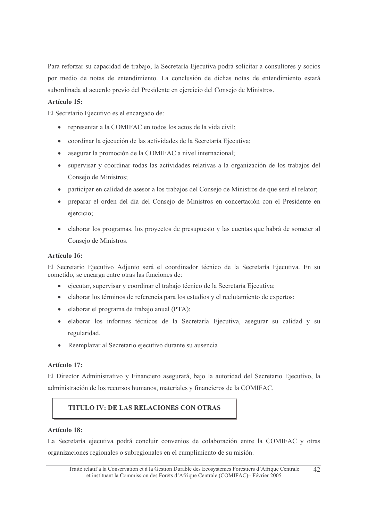Para reforzar su capacidad de trabajo, la Secretaría Ejecutiva podrá solicitar a consultores y socios por medio de notas de entendimiento. La conclusión de dichas notas de entendimiento estará subordinada al acuerdo previo del Presidente en ejercicio del Consejo de Ministros.

#### Artículo 15:

El Secretario Ejecutivo es el encargado de:

- representar a la COMIFAC en todos los actos de la vida civil;
- coordinar la ejecución de las actividades de la Secretaría Ejecutiva;  $\bullet$
- asegurar la promoción de la COMIFAC a nivel internacional;  $\bullet$
- supervisar y coordinar todas las actividades relativas a la organización de los trabajos del  $\bullet$ Consejo de Ministros;
- participar en calidad de asesor a los trabajos del Consejo de Ministros de que será el relator;
- preparar el orden del día del Consejo de Ministros en concertación con el Presidente en ejercicio;
- elaborar los programas, los proyectos de presupuesto y las cuentas que habrá de someter al Consejo de Ministros.

#### Artículo 16:

El Secretario Ejecutivo Adjunto será el coordinador técnico de la Secretaría Ejecutiva. En su cometido, se encarga entre otras las funciones de:

- ejecutar, supervisar y coordinar el trabajo técnico de la Secretaría Ejecutiva;
- elaborar los términos de referencia para los estudios y el reclutamiento de expertos;  $\bullet$
- · elaborar el programa de trabajo anual (PTA);
- elaborar los informes técnicos de la Secretaría Ejecutiva, asegurar su calidad y su  $\bullet$ regularidad.
- Reemplazar al Secretario ejecutivo durante su ausencia

#### Artículo 17:

El Director Administrativo y Financiero asegurará, bajo la autoridad del Secretario Ejecutivo, la administración de los recursos humanos, materiales y financieros de la COMIFAC.

# **TITULO IV: DE LAS RELACIONES CON OTRAS**

#### Artículo 18:

La Secretaría ejecutiva podrá concluir convenios de colaboración entre la COMIFAC y otras organizaciones regionales o subregionales en el cumplimiento de su misión.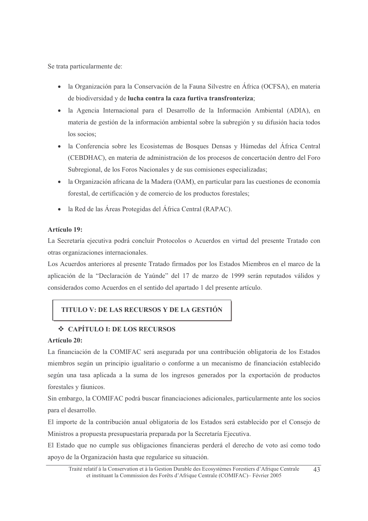Se trata particularmente de:

- la Organización para la Conservación de la Fauna Silvestre en África (OCFSA), en materia de biodiversidad y de lucha contra la caza furtiva transfronteriza;
- la Agencia Internacional para el Desarrollo de la Información Ambiental (ADIA), en materia de gestión de la información ambiental sobre la subregión y su difusión hacia todos los socios:
- · la Conferencia sobre les Ecosistemas de Bosques Densas y Húmedas del África Central (CEBDHAC), en materia de administración de los procesos de concertación dentro del Foro Subregional, de los Foros Nacionales y de sus comisiones especializadas;
- la Organización africana de la Madera (OAM), en particular para las cuestiones de economía forestal, de certificación y de comercio de los productos forestales;
- la Red de las Áreas Protegidas del África Central (RAPAC).  $\bullet$

#### Artículo 19:

La Secretaría ejecutiva podrá concluir Protocolos o Acuerdos en virtud del presente Tratado con otras organizaciones internacionales.

Los Acuerdos anteriores al presente Tratado firmados por los Estados Miembros en el marco de la aplicación de la "Declaración de Yaúnde" del 17 de marzo de 1999 serán reputados válidos y considerados como Acuerdos en el sentido del apartado 1 del presente artículo.

# **TITULO V: DE LAS RECURSOS Y DE LA GESTIÓN**

# $\div$  CAPÍTILO I: DE LOS RECURSOS

#### Artículo 20:

La financiación de la COMIFAC será asegurada por una contribución obligatoria de los Estados miembros según un principio igualitario o conforme a un mecanismo de financiación establecido según una tasa aplicada a la suma de los ingresos generados por la exportación de productos forestales y fáunicos.

Sin embargo, la COMIFAC podrá buscar financiaciones adicionales, particularmente ante los socios para el desarrollo.

El importe de la contribución anual obligatoria de los Estados será establecido por el Consejo de Ministros a propuesta presupuestaria preparada por la Secretaría Ejecutiva.

El Estado que no cumple sus obligaciones financieras perderá el derecho de voto así como todo apoyo de la Organización hasta que regularice su situación.

Traité relatif à la Conservation et à la Gestion Durable des Ecosystèmes Forestiers d'Afrique Centrale 43 et instituant la Commission des Forêts d'Afrique Centrale (COMIFAC) – Février 2005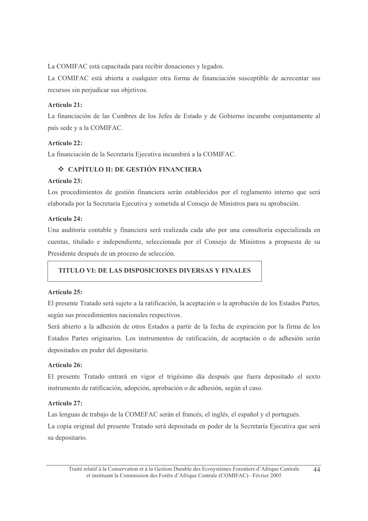La COMIFAC está capacitada para recibir donaciones y legados.

La COMIFAC está abierta a cualquier otra forma de financiación susceptible de acrecentar sus recursos sin perjudicar sus objetivos.

### Artículo 21:

La financiación de las Cumbres de los Jefes de Estado y de Gobierno incumbe conjuntamente al país sede y a la COMIFAC.

#### Artículo 22:

La financiación de la Secretaría Ejecutiva incumbirá a la COMIFAC.

# ❖ CAPÍTULO II: DE GESTIÓN FINANCIERA

#### Artículo 23:

Los procedimientos de gestión financiera serán establecidos por el reglamento interno que será elaborada por la Secretaría Ejecutiva y sometida al Consejo de Ministros para su aprobación.

#### **Artículo 24:**

Una auditoría contable y financiera será realizada cada año por una consultoría especializada en cuentas, titulado e independiente, seleccionada por el Consejo de Ministros a propuesta de su Presidente después de un proceso de selección.

#### **TITULO VI: DE LAS DISPOSICIONES DIVERSAS Y FINALES**

#### Artículo 25:

El presente Tratado será sujeto a la ratificación, la aceptación o la aprobación de los Estados Partes, según sus procedimientos nacionales respectivos.

Será abierto a la adhesión de otros Estados a partir de la fecha de expiración por la firma de los Estados Partes originarios. Los instrumentos de ratificación, de aceptación o de adhesión serán depositados en poder del depositario.

#### Artículo 26:

El presente Tratado entrará en vigor el trigésimo día después que fuera depositado el sexto instrumento de ratificación, adopción, aprobación o de adhesión, según el caso.

#### Artículo 27:

Las lenguas de trabajo de la COMEFAC serán el francés, el inglés, el español y el portugués. La copia original del presente Tratado será depositada en poder de la Secretaría Ejecutiva que será su depositario.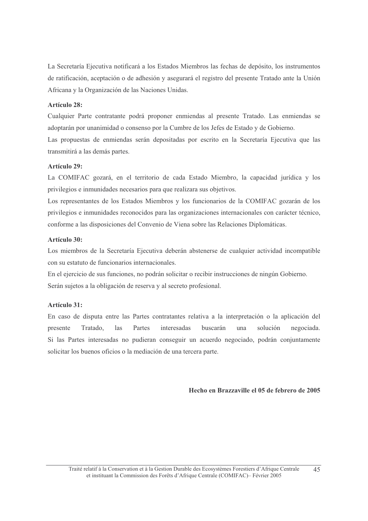La Secretaría Ejecutiva notificará a los Estados Miembros las fechas de depósito, los instrumentos de ratificación, aceptación o de adhesión y asegurará el registro del presente Tratado ante la Unión Africana y la Organización de las Naciones Unidas.

#### Artículo 28:

Cualquier Parte contratante podrá proponer enmiendas al presente Tratado. Las enmiendas se adoptarán por unanimidad o consenso por la Cumbre de los Jefes de Estado y de Gobierno.

Las propuestas de enmiendas serán depositadas por escrito en la Secretaría Ejecutiva que las transmitirá a las demás partes.

#### Artículo 29:

La COMIFAC gozará, en el territorio de cada Estado Miembro, la capacidad jurídica y los privilegios e inmunidades necesarios para que realizara sus objetivos.

Los representantes de los Estados Miembros y los funcionarios de la COMIFAC gozarán de los privilegios e inmunidades reconocidos para las organizaciones internacionales con carácter técnico, conforme a las disposiciones del Convenio de Viena sobre las Relaciones Diplomáticas.

#### Artículo 30:

Los miembros de la Secretaría Ejecutiva deberán abstenerse de cualquier actividad incompatible con su estatuto de funcionarios internacionales.

En el ejercicio de sus funciones, no podrán solicitar o recibir instrucciones de ningún Gobierno. Serán sujetos a la obligación de reserva y al secreto profesional.

#### **Artículo 31:**

En caso de disputa entre las Partes contratantes relativa a la interpretación o la aplicación del presente Tratado, las Partes interesadas buscarán una solución negociada. Si las Partes interesadas no pudieran conseguir un acuerdo negociado, podrán conjuntamente solicitar los buenos oficios o la mediación de una tercera parte.

Hecho en Brazzaville el 05 de febrero de 2005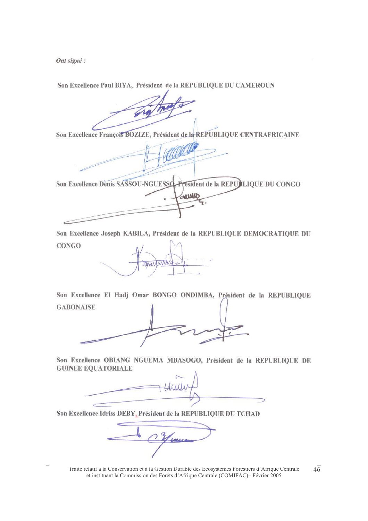Ont signé :

Son Excellence Paul BIYA, Président de la REPUBLIQUE DU CAMEROUN

Son Excellence François BOZIZE, Président de la REPUBLIQUE CENTRAFRICAINE

President de la REPUBLIQUE DU CONGO Son Excellence Denis SASSOU-NGUESSO-Were

Son Excellence Joseph KABILA, Président de la REPUBLIQUE DEMOCRATIQUE DU **CONGO** 

**DAAN** 

Son Excellence El Hadj Omar BONGO ONDIMBA, Président de la REPUBLIOUE **GABONAISE** 

Son Excellence OBIANG NGUEMA MBASOGO, Président de la REPUBLIQUE DE **GUINEE EQUATORIALE** 

Son Excellence Idriss DEBY, Président de la REPUBLIQUE DU TCHAD

Traité relatif à la Conservation et à la Gestion Durable des Ecosystèmes Forestiers d'Afrique Centrale et instituant la Commission des Forêts d'Afrique Centrale (COMIFAC) – Février 2005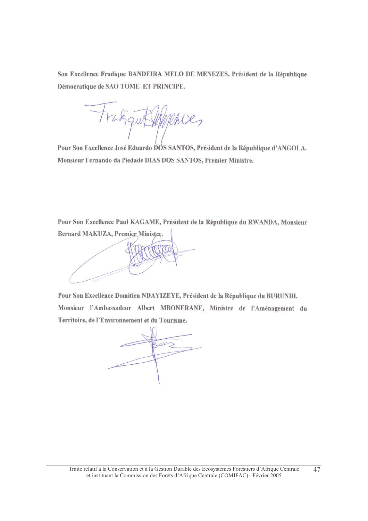Son Excellence Fradique BANDEIRA MELO DE MENEZES, Président de la République Démocratique de SAO TOME ET PRINCIPE.

ique Hipphies

Pour Son Excellence José Eduardo DÓS SANTOS, Président de la République d'ANGOLA. Monsieur Fernando da Piedade DIAS DOS SANTOS, Premier Ministre.

Pour Son Excellence Paul KAGAME, Président de la République du RWANDA, Monsieur Bernard MAKUZA, Premier Ministre.

Pour Son Excellence Domitien NDAYIZEYE, Président de la République du BURUNDI. Monsieur l'Ambassadeur Albert MBONERANE, Ministre de l'Aménagement du Territoire, de l'Environnement et du Tourisme.

 $2pV$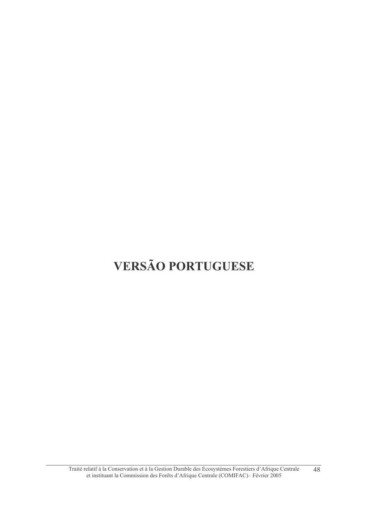# **VERSÃO PORTUGUESE**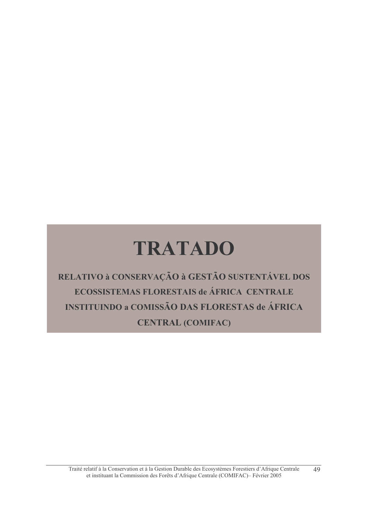# **TRATADO**

RELATIVO à CONSERVAÇÃO à GESTÃO SUSTENTÁVEL DOS ECOSSISTEMAS FLORESTAIS de ÁFRICA CENTRALE **INSTITUINDO a COMISSÃO DAS FLORESTAS de ÁFRICA CENTRAL (COMIFAC)**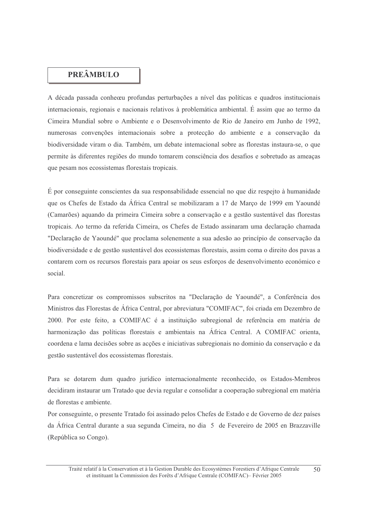# **PREÂMBULO**

A década passada conheceu profundas perturbações a nível das políticas e quadros institucionais internacionais, regionais e nacionais relativos à problemática ambiental. É assim que ao termo da Cimeira Mundial sobre o Ambiente e o Desenvolvimento de Rio de Janeiro em Junho de 1992, numerosas convenções internacionais sobre a protecção do ambiente e a conservação da biodiversidade viram o dia. Também, um debate internacional sobre as florestas instaura-se, o que permite às diferentes regiões do mundo tomarem consciência dos desafios e sobretudo as ameaças que pesam nos ecossistemas florestais tropicais.

É por conseguinte conscientes da sua responsabilidade essencial no que diz respeito à humanidade que os Chefes de Estado da África Central se mobilizaram a 17 de Março de 1999 em Yaoundé (Camarões) aquando da primeira Cimeira sobre a conservação e a gestão sustentável das florestas tropicais. Ao termo da referida Cimeira, os Chefes de Estado assinaram uma declaração chamada "Declaração de Yaoundé" que proclama solenemente a sua adesão ao princípio de conservação da biodiversidade e de gestão sustentável dos ecossistemas florestais, assim coma o direito dos pavas a contarem corn os recursos florestais para apoiar os seus esforços de desenvolvimento económico e social.

Para concretizar os compromissos subscritos na "Declaração de Yaoundé", a Conferência dos Ministros das Florestas de África Central, por abreviatura "COMIFAC", foi criada em Dezembro de 2000. Por este feito, a COMIFAC é a instituição subregional de referência em matéria de harmonização das políticas florestais e ambientais na África Central. A COMIFAC orienta, coordena e lama decisões sobre as acções e iniciativas subregionais no dominio da conservação e da gestão sustentável dos ecossistemas florestais.

Para se dotarem dum quadro jurídico internacionalmente reconhecido, os Estados-Membros decidiram instaurar um Tratado que devia regular e consolidar a cooperação subregional em matéria de florestas e ambiente.

Por conseguinte, o presente Tratado foi assinado pelos Chefes de Estado e de Governo de dez países da África Central durante a sua segunda Cimeira, no dia 5 de Fevereiro de 2005 en Brazzaville (República so Congo).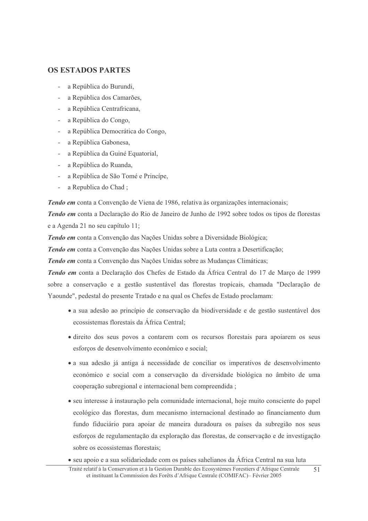#### **OS ESTADOS PARTES**

- a República do Burundi,
- a República dos Camarões,
- a República Centrafricana,
- a República do Congo,
- a República Democrática do Congo,
- a República Gabonesa,
- a República da Guiné Equatorial,
- a República do Ruanda,
- a República de São Tomé e Princípe,
- a Republica do Chad:

Tendo em conta a Convenção de Viena de 1986, relativa às organizações internacionais;

Tendo em conta a Declaração do Rio de Janeiro de Junho de 1992 sobre todos os tipos de florestas e a Agenda 21 no seu capítulo 11;

Tendo em conta a Convenção das Nações Unidas sobre a Diversidade Biológica;

Tendo em conta a Convenção das Nações Unidas sobre a Luta contra a Desertificação;

Tendo em conta a Convenção das Nações Unidas sobre as Mudanças Climáticas;

Tendo em conta a Declaração dos Chefes de Estado da África Central do 17 de Março de 1999 sobre a conservação e a gestão sustentável das florestas tropicais, chamada "Declaração de Yaounde", pedestal do presente Tratado e na qual os Chefes de Estado proclamam:

- a sua adesão ao princípio de conservação da biodiversidade e de gestão sustentável dos ecossistemas florestais da África Central:
- direito dos seus povos a contarem com os recursos florestais para apoiarem os seus esforços de desenvolvimento económico e social;
- a sua adesão já antiga à necessidade de conciliar os imperativos de desenvolvimento económico e social com a conservação da diversidade biológica no âmbito de uma cooperação subregional e internacional bem compreendida;
- seu interesse à instauração pela comunidade internacional, hoje muito consciente do papel ecológico das florestas, dum mecanismo internacional destinado ao financiamento dum fundo fiduciário para apoiar de maneira duradoura os países da subregião nos seus esforços de regulamentação da exploração das florestas, de conservação e de investigação sobre os ecossistemas florestais;
- seu apoio e a sua solidariedade com os países sahelianos da África Central na sua luta
- Traité relatif à la Conservation et à la Gestion Durable des Ecosystèmes Forestiers d'Afrique Centrale  $51$ et instituant la Commission des Forêts d'Afrique Centrale (COMIFAC)- Février 2005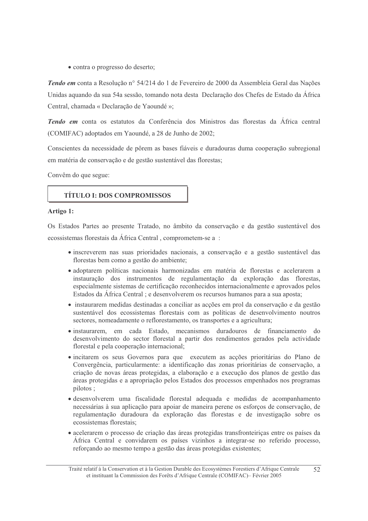• contra o progresso do deserto;

Tendo em conta a Resolução nº 54/214 do 1 de Fevereiro de 2000 da Assembleia Geral das Nações Unidas aquando da sua 54a sessão, tomando nota desta Declaração dos Chefes de Estado da África Central, chamada « Declaração de Yaoundé »;

Tendo em conta os estatutos da Conferência dos Ministros das florestas da África central (COMIFAC) adoptados em Yaoundé, a 28 de Junho de 2002;

Conscientes da necessidade de pôrem as bases fiáveis e duradouras duma cooperação subregional em matéria de conservação e de gestão sustentável das florestas;

Convêm do que segue:

#### **TÍTULO I: DOS COMPROMISSOS**

#### Artigo 1:

Os Estados Partes ao presente Tratado, no âmbito da conservação e da gestão sustentável dos ecossistemas florestais da África Central, comprometem-se a :

- · inscreverem nas suas prioridades nacionais, a conservação e a gestão sustentável das florestas bem como a gestão do ambiente;
- adoptarem políticas nacionais harmonizadas em matéria de florestas e acelerarem a instauração dos instrumentos de regulamentação da exploração das florestas, especialmente sistemas de certificação reconhecidos internacionalmente e aprovados pelos Estados da África Central; e desenvolverem os recursos humanos para a sua aposta;
- · instaurarem medidas destinadas a conciliar as acções em prol da conservação e da gestão sustentável dos ecossistemas florestais com as políticas de desenvolvimento noutros sectores, nomeadamente o reflorestamento, os transportes e a agricultura;
- · instaurarem, em cada Estado, mecanismos duradouros de financiamento do desenvolvimento do sector florestal a partir dos rendimentos gerados pela actividade florestal e pela cooperação internacional;
- · incitarem os seus Governos para que executem as acções prioritárias do Plano de Convergência, particularmente: a identificação das zonas prioritárias de conservação, a criação de novas áreas protegidas, a elaboração e a execução dos planos de gestão das áreas protegidas e a apropriação pelos Estados dos processos empenhados nos programas pilotos;
- · desenvolverem uma fiscalidade florestal adequada e medidas de acompanhamento necessárias à sua aplicação para apoiar de maneira perene os esforços de conservação, de regulamentação duradoura da exploração das florestas e de investigação sobre os ecossistemas florestais;
- acelerarem o processo de criação das áreas protegidas transfronteiriças entre os países da África Central e convidarem os países vizinhos a integrar-se no referido processo, reforçando ao mesmo tempo a gestão das áreas protegidas existentes;

Traité relatif à la Conservation et à la Gestion Durable des Ecosystèmes Forestiers d'Afrique Centrale  $52$ et instituant la Commission des Forêts d'Afrique Centrale (COMIFAC)- Février 2005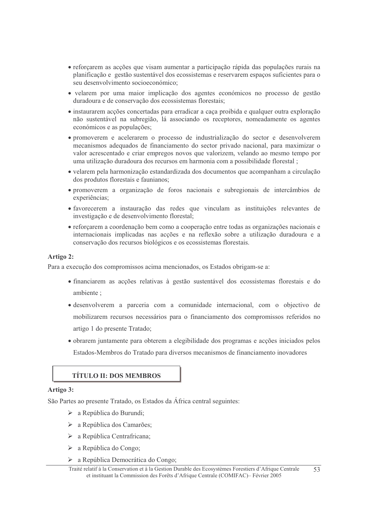- reforçarem as acções que visam aumentar a participação rápida das populações rurais na planificação e gestão sustentável dos ecossistemas e reservarem espaços suficientes para o seu desenvolvimento socioeconómico;
- velarem por uma maior implicação dos agentes económicos no processo de gestão duradoura e de conservação dos ecossistemas florestais:
- · instaurarem acções concertadas para erradicar a caça proibida e qualquer outra exploração não sustentável na subregião, lá associando os receptores, nomeadamente os agentes económicos e as populações;
- promoverem e acelerarem o processo de industrialização do sector e desenvolverem mecanismos adequados de financiamento do sector privado nacional, para maximizar o valor acrescentado e criar empregos novos que valorizem, velando ao mesmo tempo por uma utilização duradoura dos recursos em harmonia com a possibilidade florestal;
- · velarem pela harmonização estandardizada dos documentos que acompanham a circulação dos produtos florestais e faunianos;
- promoverem a organização de foros nacionais e subregionais de intercâmbios de experiências;
- · favorecerem a instauração das redes que vinculam as instituições relevantes de investigação e de desenvolvimento florestal;
- reforçarem a coordenação bem como a cooperação entre todas as organizações nacionais e internacionais implicadas nas accões e na reflexão sobre a utilização duradoura e a conservação dos recursos biológicos e os ecossistemas florestais.

#### Artigo 2:

Para a execução dos compromissos acima mencionados, os Estados obrigam-se a:

- financiarem as accões relativas à gestão sustentável dos ecossistemas florestais e do ambiente :
- desenvolverem a parceria com a comunidade internacional, com o objectivo de mobilizarem recursos necessários para o financiamento dos compromissos referidos no artigo 1 do presente Tratado;
- obrarem juntamente para obterem a elegibilidade dos programas e acções iniciados pelos Estados-Membros do Tratado para diversos mecanismos de financiamento inovadores

# **TÍTULO II: DOS MEMBROS**

#### Artigo 3:

São Partes ao presente Tratado, os Estados da África central seguintes:

- $\triangleright$  a República do Burundi;
- $\triangleright$  a República dos Camarões;
- $\triangleright$  a República Centrafricana;
- $\triangleright$  a República do Congo;
- $\triangleright$  a República Democrática do Congo;

Traité relatif à la Conservation et à la Gestion Durable des Ecosystèmes Forestiers d'Afrique Centrale  $53$ et instituant la Commission des Forêts d'Afrique Centrale (COMIFAC) – Février 2005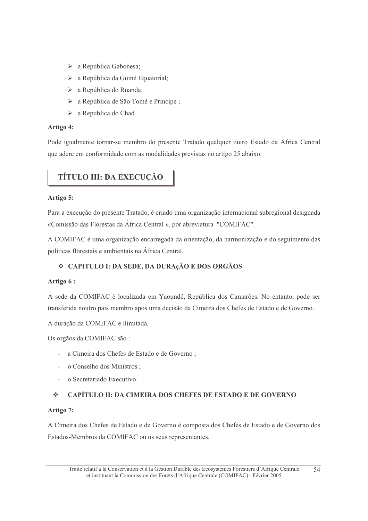- > a República Gabonesa;
- $\triangleright$  a República da Guiné Equatorial;
- $\triangleright$  a República do Ruanda;
- > a República de São Tomé e Principe;
- $\triangleright$  a Republica do Chad

#### Artigo 4:

Pode igualmente tornar-se membro do presente Tratado qualquer outro Estado da África Central que adere em conformidade com as modalidades previstas no artigo 25 abaixo.

# TÍTULO III: DA EXECUÇÃO

#### Artigo 5:

Para a execução do presente Tratado, é criado uma organização internacional subregional designada «Comissão das Florestas da África Central », por abreviatura "COMIFAC".

A COMIFAC é uma organização encarregada da orientação, da harmonização e do seguimento das políticas florestais e ambientais na África Central.

# ❖ CAPITULO I: DA SEDE, DA DURAçÃO E DOS ORGÃOS

#### Artigo 6:

A sede da COMIFAC è localizada em Yaoundé, República dos Camarões. No entanto, pode ser transferida noutro pais membro apos uma decisão da Cimeira dos Chefes de Estado e de Governo.

A duração da COMIFAC é ilimitada.

Os orgãos da COMIFAC são:

- a Cimeira dos Chefes de Estado e de Governo;
- o Conselho dos Ministros;
- o Secretariado Executivo.

#### CAPÍTULO II: DA CIMEIRA DOS CHEFES DE ESTADO E DE GOVERNO  $\mathcal{L}_{\mathcal{D}}^{\mathcal{L}_{\mathcal{D}}(\mathcal{L}_{\mathcal{D}})}$

#### Artigo 7:

A Cimeira dos Chefes de Estado e de Governo é composta dos Chefes de Estado e de Governo dos Estados-Membros da COMIFAC ou os seus representantes.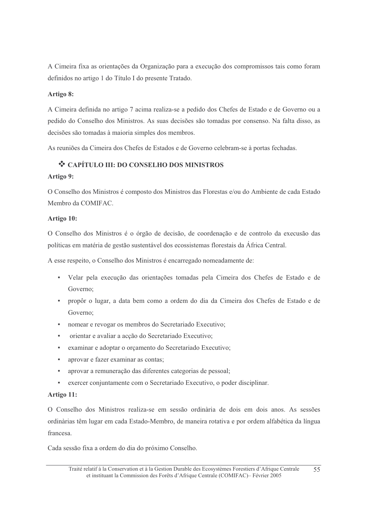A Cimeira fixa as orientações da Organização para a execução dos compromissos tais como foram definidos no artigo 1 do Título I do presente Tratado.

#### Artigo 8:

A Cimeira definida no artigo 7 acima realiza-se a pedido dos Chefes de Estado e de Governo ou a pedido do Conselho dos Ministros. As suas decisões são tomadas por consenso. Na falta disso, as decisões são tomadas à maioria simples dos membros.

As reuniões da Cimeira dos Chefes de Estados e de Governo celebram-se à portas fechadas.

# ❖ CAPÍTULO III: DO CONSELHO DOS MINISTROS

#### Artigo 9:

O Conselho dos Ministros é composto dos Ministros das Florestas e/ou do Ambiente de cada Estado Membro da COMIFAC.

#### Artigo 10:

O Conselho dos Ministros é o órgão de decisão, de coordenação e de controlo da execusão das políticas em matéria de gestão sustentável dos ecossistemas florestais da África Central.

A esse respeito, o Conselho dos Ministros é encarregado nomeadamente de:

- Velar pela execução das orientações tomadas pela Cimeira dos Chefes de Estado e de Governo:
- propôr o lugar, a data bem como a ordem do dia da Cimeira dos Chefes de Estado e de Governo:
- $\mathbf{r}$  . nomear e revogar os membros do Secretariado Executivo;
- orientar e avaliar a acção do Secretariado Executivo;
- examinar e adoptar o orçamento do Secretariado Executivo;
- aprovar e fazer examinar as contas;
- aprovar a remuneração das diferentes categorias de pessoal;
- exercer conjuntamente com o Secretariado Executivo, o poder disciplinar.  $\mathbf{r}$  .

#### Artigo 11:

O Conselho dos Ministros realiza-se em sessão ordinària de dois em dois anos. As sessões ordinàrias têm lugar em cada Estado-Membro, de maneira rotativa e por ordem alfabética da língua francesa

Cada sessão fixa a ordem do dia do próximo Conselho.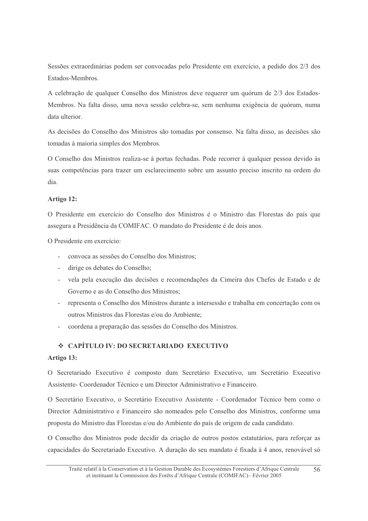Sessões extraordinárias podem ser convocadas pelo Presidente em exercício, a pedido dos 2/3 dos Estados-Membros.

A celebração de qualquer Conselho dos Ministros deve requerer um quórum de 2/3 dos Estados-Membros. Na falta disso, uma nova sessão celebra-se, sem nenhuma exigência de quórum, numa data ulterior.

As decisões do Conselho dos Ministros são tomadas por consenso. Na falta disso, as decisões são tomadas à maioria simples dos Membros.

O Conselho dos Ministros realiza-se à portas fechadas. Pode recorrer à qualquer pessoa devido às suas competências para trazer um esclarecimento sobre um assunto preciso inscrito na ordem do dia.

#### Artigo 12:

O Presidente em exercício do Conselho dos Ministros é o Ministro das Florestas do país que assegura a Presidência da COMIFAC. O mandato do Presidente é de dois anos.

O Presidente em exercício:

- convoca as sessões do Conselho dos Ministros;
- dirige os debates do Conselho;
- vela pela execução das decisões e recomendações da Cimeira dos Chefes de Estado e de  $\omega_{\rm{max}}$ Governo e as do Conselho dos Ministros;
- representa o Conselho dos Ministros durante a intersessão e trabalha em concertação com os outros Ministros das Florestas e/ou do Ambiente;
- coordena a preparação das sessões do Conselho dos Ministros.

#### ❖ CAPÍTULO IV: DO SECRETARIADO EXECUTIVO

#### Artigo 13:

O Secretariado Executivo é composto dum Secretário Executivo, um Secretário Executivo Assistente- Coordenador Técnico e um Director Administrativo e Financeiro.

O Secretário Executivo, o Secretário Executivo Assistente - Coordenador Técnico bem como o Director Administrativo e Financeiro são nomeados pelo Conselho dos Ministros, conforme uma proposta do Ministro das Florestas e/ou do Ambiente do país de origem de cada candidato.

O Conselho dos Ministros pode decidir da criação de outros postos estatutários, para reforçar as capacidades do Secretariado Executivo. A duração do seu mandato é fixada à 4 anos, renovável só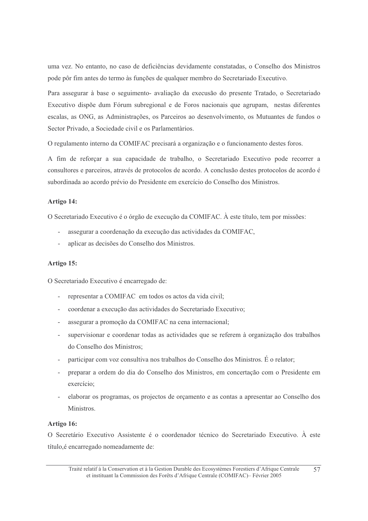uma vez. No entanto, no caso de deficiências devidamente constatadas, o Conselho dos Ministros pode pôr fim antes do termo às funções de qualquer membro do Secretariado Executivo.

Para assegurar à base o seguimento- avaliação da execusão do presente Tratado, o Secretariado Executivo dispõe dum Fórum subregional e de Foros nacionais que agrupam, nestas diferentes escalas, as ONG, as Administrações, os Parceiros ao desenvolvimento, os Mutuantes de fundos o Sector Privado, a Sociedade civil e os Parlamentários.

O regulamento interno da COMIFAC precisará a organização e o funcionamento destes foros.

A fim de reforçar a sua capacidade de trabalho, o Secretariado Executivo pode recorrer a consultores e parceiros, através de protocolos de acordo. A conclusão destes protocolos de acordo é subordinada ao acordo prévio do Presidente em exercício do Conselho dos Ministros.

#### Artigo 14:

O Secretariado Executivo é o órgão de execução da COMIFAC. À este título, tem por missões:

- assegurar a coordenação da execução das actividades da COMIFAC,
- aplicar as decisões do Conselho dos Ministros.

#### Artigo 15:

O Secretariado Executivo é encarregado de:

- representar a COMIFAC em todos os actos da vida civil;
- coordenar a execução das actividades do Secretariado Executivo;
- assegurar a promoção da COMIFAC na cena internacional;
- supervisionar e coordenar todas as actividades que se referem à organização dos trabalhos do Conselho dos Ministros;
- participar com voz consultiva nos trabalhos do Conselho dos Ministros. É o relator;
- preparar a ordem do dia do Conselho dos Ministros, em concertação com o Presidente em exercício:
- elaborar os programas, os projectos de orgamento e as contas a apresentar ao Conselho dos Ministros.

#### Artigo 16:

O Secretário Executivo Assistente é o coordenador técnico do Secretariado Executivo. À este título, é encarregado nomeadamente de: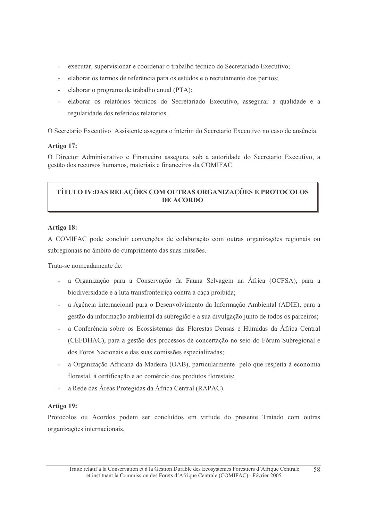- executar, supervisionar e coordenar o trabalho técnico do Secretariado Executivo;
- elaborar os termos de referência para os estudos e o recrutamento dos peritos;
- elaborar o programa de trabalho anual (PTA);
- elaborar os relatórios técnicos do Secretariado Executivo, assegurar a qualidade e a regularidade dos referidos relatorios.

O Secretario Executivo Assistente assegura o ínterim do Secretario Executivo no caso de ausência.

#### Artigo 17:

O Director Administrativo e Financeiro assegura, sob a autoridade do Secretario Executivo, a gestão dos recursos humanos, materiais e financeiros da COMIFAC.

# TÍTULO IV:DAS RELAÇÕES COM OUTRAS ORGANIZAÇÕES E PROTOCOLOS **DE ACORDO**

#### Artigo 18:

A COMIFAC pode concluir convenções de colaboração com outras organizações regionais ou subregionais no âmbito do cumprimento das suas missões.

Trata-se nomeadamente de:

- a Organização para a Conservação da Fauna Selvagem na África (OCFSA), para a biodiversidade e a luta transfronteirica contra a caça proibida;
- a Agência internacional para o Desenvolvimento da Informação Ambiental (ADIE), para a gestão da informação ambiental da subregião e a sua divulgação junto de todos os parceiros;
- a Conferência sobre os Ecossistemas das Florestas Densas e Húmidas da África Central (CEFDHAC), para a gestão dos processos de concertação no seio do Fórum Subregional e dos Foros Nacionais e das suas comissões especializadas;
- a Organização Africana da Madeira (OAB), particularmente pelo que respeita à economia florestal, à certificação e ao comércio dos produtos florestais;
- a Rede das Áreas Protegidas da África Central (RAPAC).

#### Artigo 19:

Protocolos ou Acordos podem ser concluídos em virtude do presente Tratado com outras organizações internacionais.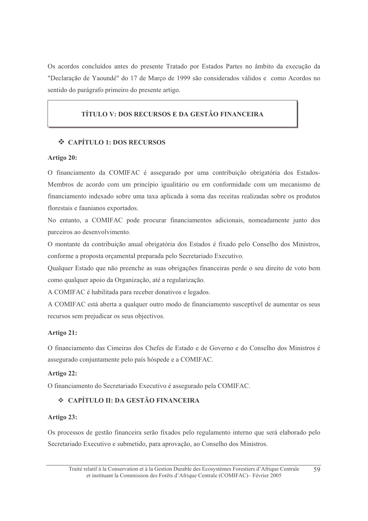Os acordos concluídos antes do presente Tratado por Estados Partes no âmbito da execução da "Declaração de Yaoundé" do 17 de Março de 1999 são considerados válidos e como Acordos no sentido do parágrafo primeiro do presente artigo.

# TÍTULO V: DOS RECURSOS E DA GESTÃO FINANCEIRA

#### ❖ CAPÍTULO 1: DOS RECURSOS

#### Artigo 20:

O financiamento da COMIFAC é assegurado por uma contribuição obrigatória dos Estados-Membros de acordo com um princípio igualitário ou em conformidade com um mecanismo de financiamento indexado sobre uma taxa aplicada à soma das receitas realizadas sobre os produtos florestais e faunianos exportados.

No entanto, a COMIFAC pode procurar financiamentos adicionais, nomeadamente junto dos parceiros ao desenvolvimento.

O montante da contribuição anual obrigatória dos Estados é fixado pelo Conselho dos Ministros, conforme a proposta orçamental preparada pelo Secretariado Executivo.

Qualquer Estado que não preenche as suas obrigações financeiras perde o seu direito de voto bem como qualquer apoio da Organização, até a regularização.

A COMIFAC é habilitada para receber donativos e legados.

A COMIFAC está aberta a qualquer outro modo de financiamento susceptível de aumentar os seus recursos sem prejudicar os seus objectivos.

#### Artigo 21:

O financiamento das Cimeiras dos Chefes de Estado e de Governo e do Conselho dos Ministros é assegurado conjuntamente pelo país hóspede e a COMIFAC.

#### Artigo 22:

O financiamento do Secretariado Executivo é assegurado pela COMIFAC.

### ❖ CAPÍTULO II: DA GESTÃO FINANCEIRA

#### Artigo 23:

Os processos de gestão financeira serão fixados pelo regulamento interno que será elaborado pelo Secretariado Executivo e submetido, para aprovação, ao Conselho dos Ministros.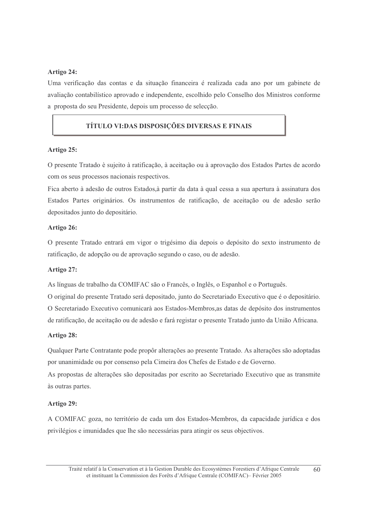#### Artigo 24:

Uma verificação das contas e da situação financeira é realizada cada ano por um gabinete de avaliação contabilístico aprovado e independente, escolhido pelo Conselho dos Ministros conforme a proposta do seu Presidente, depois um processo de selecção.

#### TÍTULO VI:DAS DISPOSICÕES DIVERSAS E FINAIS

#### Artigo 25:

O presente Tratado è sujeito à ratificação, à aceitação ou à aprovação dos Estados Partes de acordo com os seus processos nacionais respectivos.

Fica aberto à adesão de outros Estados, à partir da data à qual cessa a sua apertura à assinatura dos Estados Partes originários. Os instrumentos de ratificação, de aceitação ou de adesão serão depositados junto do depositário.

#### Artigo 26:

O presente Tratado entrará em vigor o trigésimo dia depois o depósito do sexto instrumento de ratificação, de adopção ou de aprovação segundo o caso, ou de adesão.

#### Artigo 27:

As línguas de trabalho da COMIFAC são o Francês, o Inglês, o Espanhol e o Português.

O original do presente Tratado será depositado, junto do Secretariado Executivo que é o depositário. O Secretariado Executivo comunicarà aos Estados-Membros, as datas de depósito dos instrumentos de ratificação, de aceitação ou de adesão e fará registar o presente Tratado junto da União Africana.

#### Artigo 28:

Qualquer Parte Contratante pode propôr alterações ao presente Tratado. As alterações são adoptadas por unanimidade ou por consenso pela Cimeira dos Chefes de Estado e de Governo.

As propostas de alterações são depositadas por escrito ao Secretariado Executivo que as transmite às outras partes.

#### Artigo 29:

A COMIFAC goza, no território de cada um dos Estados-Membros, da capacidade jurídica e dos privilégios e imunidades que lhe são necessárias para atingir os seus objectivos.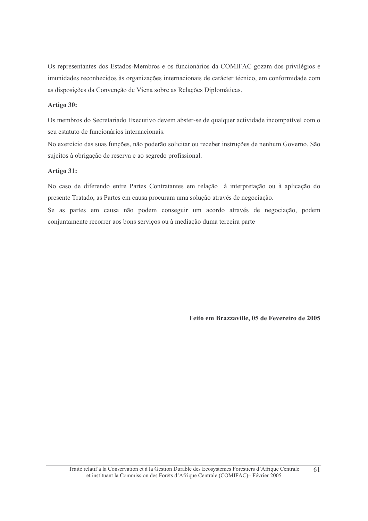Os representantes dos Estados-Membros e os funcionários da COMIFAC gozam dos privilégios e imunidades reconhecidos às organizações internacionais de carácter técnico, em conformidade com as disposições da Convenção de Viena sobre as Relações Diplomáticas.

#### Artigo 30:

Os membros do Secretariado Executivo devem abster-se de qualquer actividade incompatível com o seu estatuto de funcionários internacionais.

No exercício das suas funções, não poderão solicitar ou receber instruções de nenhum Governo. São sujeitos à obrigação de reserva e ao segredo profissional.

#### Artigo 31:

No caso de diferendo entre Partes Contratantes em relação à interpretação ou à aplicação do presente Tratado, as Partes em causa procuram uma solução através de negociação.

Se as partes em causa não podem conseguir um acordo através de negociação, podem conjuntamente recorrer aos bons serviços ou à mediação duma terceira parte

Feito em Brazzaville, 05 de Fevereiro de 2005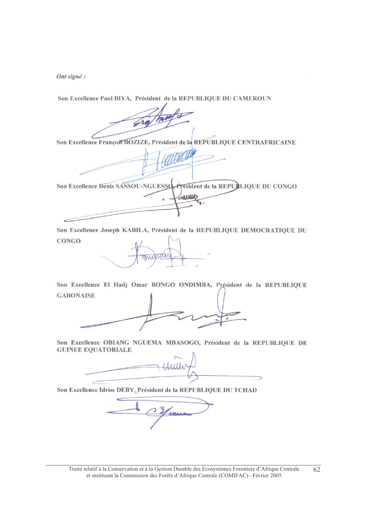Ont signé :

Son Excellence Paul BIYA, Président de la REPUBLIQUE DU CAMEROUN

Son Excellence François BOZIZE, Président de la REPUBLIQUE CENTRAFRICAINE

Son Excellence Denis SASSOU-NGUESSO President de la REPULIQUE DU CONGO Week

Son Excellence Joseph KABILA, Président de la REPUBLIQUE DEMOCRATIQUE DU **CONGO** 

Son Excellence El Hadj Omar BONGO ONDIMBA, Président de la REPUBLIQUE **GABONAISE** 

Son Excellence OBIANG NGUEMA MBASOGO, Président de la REPUBLIQUE DE **GUINEE EQUATORIALE** 

Son Excellence Idriss DEBY, Président de la REPUBLIQUE DU TCHAD